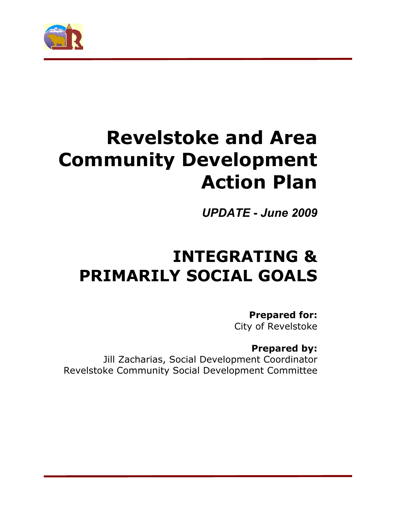

# **Revelstoke and Area Community Development Action Plan**

*UPDATE* **-** *June 2009*

# **INTEGRATING & PRIMARILY SOCIAL GOALS**

**Prepared for:**  City of Revelstoke

## **Prepared by:**

Jill Zacharias, Social Development Coordinator Revelstoke Community Social Development Committee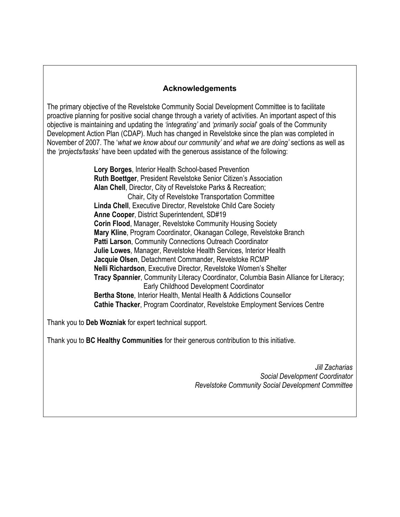### **Acknowledgements**

The primary objective of the Revelstoke Community Social Development Committee is to facilitate proactive planning for positive social change through a variety of activities. An important aspect of this objective is maintaining and updating the *'integrating'* and *'primarily social*' goals of the Community Development Action Plan (CDAP). Much has changed in Revelstoke since the plan was completed in November of 2007. The '*what we know about our community'* and *what we are doing'* sections as well as the *'projects/tasks'* have been updated with the generous assistance of the following:

> **Lory Borges**, Interior Health School-based Prevention  **Ruth Boettger**, President Revelstoke Senior Citizen's Association  **Alan Chell**, Director, City of Revelstoke Parks & Recreation; Chair, City of Revelstoke Transportation Committee  **Linda Chell**, Executive Director, Revelstoke Child Care Society  **Anne Cooper**, District Superintendent, SD#19  **Corin Flood**, Manager, Revelstoke Community Housing Society  **Mary Kline**, Program Coordinator, Okanagan College, Revelstoke Branch  **Patti Larson**, Community Connections Outreach Coordinator  **Julie Lowes**, Manager, Revelstoke Health Services, Interior Health  **Jacquie Olsen**, Detachment Commander, Revelstoke RCMP **Nelli Richardson**, Executive Director, Revelstoke Women's Shelter  **Tracy Spannier**, Community Literacy Coordinator, Columbia Basin Alliance for Literacy; Early Childhood Development Coordinator  **Bertha Stone**, Interior Health, Mental Health & Addictions Counsellor  **Cathie Thacker**, Program Coordinator, Revelstoke Employment Services Centre

Thank you to **Deb Wozniak** for expert technical support.

Thank you to **BC Healthy Communities** for their generous contribution to this initiative.

*Jill Zacharias Social Development Coordinator Revelstoke Community Social Development Committee*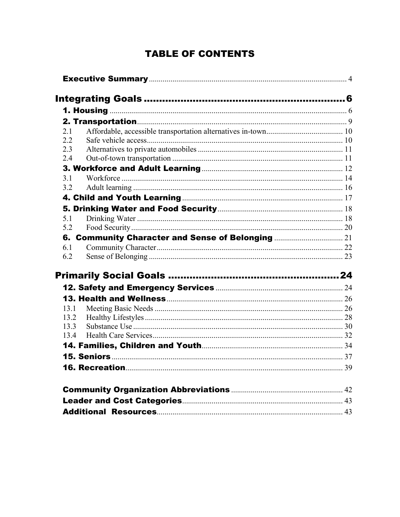## **TABLE OF CONTENTS**

| 2.1  |  |
|------|--|
| 2.2  |  |
| 2.3  |  |
| 2.4  |  |
|      |  |
| 3.1  |  |
| 3.2  |  |
|      |  |
|      |  |
| 5.1  |  |
| 5.2  |  |
|      |  |
| 6.1  |  |
| 6.2  |  |
|      |  |
|      |  |
|      |  |
| 13.1 |  |
| 13.2 |  |
| 13.3 |  |
| 13.4 |  |
|      |  |
|      |  |
|      |  |
|      |  |
|      |  |
|      |  |
|      |  |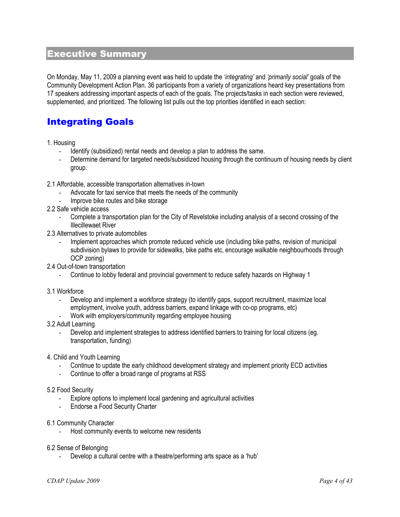## Executive Summary

On Monday, May 11, 2009 a planning event was held to update the *'integrating'* and *'primarily social'* goals of the Community Development Action Plan. 36 participants from a variety of organizations heard key presentations from 17 speakers addressing important aspects of each of the goals. The projects/tasks in each section were reviewed, supplemented, and prioritized. The following list pulls out the top priorities identified in each section:

## Integrating Goals

#### 1. Housing

- Identify (subsidized) rental needs and develop a plan to address the same.
- Determine demand for targeted needs/subsidized housing through the continuum of housing needs by client group.
- 2.1 Affordable, accessible transportation alternatives in-town
	- Advocate for taxi service that meets the needs of the community
	- Improve bike routes and bike storage
- 2.2 Safe vehicle access
	- Complete a transportation plan for the City of Revelstoke including analysis of a second crossing of the Illecillewaet River
- 2.3 Alternatives to private automobiles
	- Implement approaches which promote reduced vehicle use (including bike paths, revision of municipal subdivision bylaws to provide for sidewalks, bike paths etc, encourage walkable neighbourhoods through OCP zoning)
- 2.4 Out-of-town transportation
	- Continue to lobby federal and provincial government to reduce safety hazards on Highway 1

#### 3.1 Workforce

- Develop and implement a workforce strategy (to identify gaps, support recruitment, maximize local employment, involve youth, address barriers, expand linkage with co-op programs, etc)
- Work with employers/community regarding employee housing
- 3.2 Adult Learning
	- Develop and implement strategies to address identified barriers to training for local citizens (eg. transportation, funding)
- 4. Child and Youth Learning
	- Continue to update the early childhood development strategy and implement priority ECD activities
	- Continue to offer a broad range of programs at RSS

#### 5.2 Food Security

- Explore options to implement local gardening and agricultural activities
- Endorse a Food Security Charter
- 6.1 Community Character
	- Host community events to welcome new residents

#### 6.2 Sense of Belonging

Develop a cultural centre with a theatre/performing arts space as a 'hub'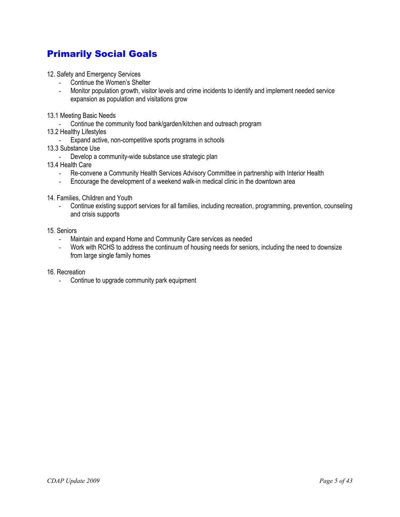## Primarily Social Goals

- 12. Safety and Emergency Services
	- Continue the Women's Shelter
	- Monitor population growth, visitor levels and crime incidents to identify and implement needed service expansion as population and visitations grow
- 13.1 Meeting Basic Needs
	- Continue the community food bank/garden/kitchen and outreach program
- 13.2 Healthy Lifestyles
	- Expand active, non-competitive sports programs in schools
- 13.3 Substance Use
	- Develop a community-wide substance use strategic plan
- 13.4 Health Care
	- Re-convene a Community Health Services Advisory Committee in partnership with Interior Health
	- Encourage the development of a weekend walk-in medical clinic in the downtown area
- 14. Families, Children and Youth
	- Continue existing support services for all families, including recreation, programming, prevention, counseling and crisis supports

## 15. Seniors<br>Ma

- Maintain and expand Home and Community Care services as needed
- Work with RCHS to address the continuum of housing needs for seniors, including the need to downsize from large single family homes
- 16. Recreation
	- Continue to upgrade community park equipment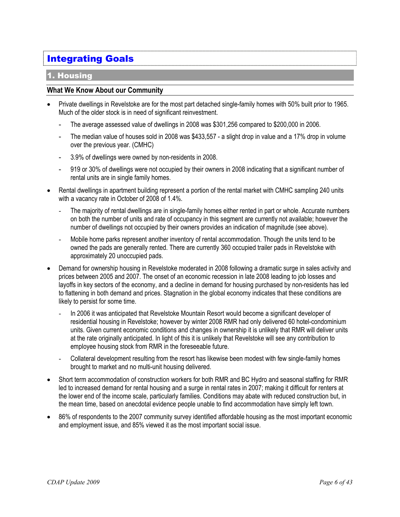## Integrating Goals

## 1. Housing

#### **What We Know About our Community**

- Private dwellings in Revelstoke are for the most part detached single-family homes with 50% built prior to 1965. Much of the older stock is in need of significant reinvestment.
	- The average assessed value of dwellings in 2008 was \$301,256 compared to \$200,000 in 2006.
	- The median value of houses sold in 2008 was \$433,557 a slight drop in value and a 17% drop in volume over the previous year. (CMHC)
	- 3.9% of dwellings were owned by non-residents in 2008.
	- 919 or 30% of dwellings were not occupied by their owners in 2008 indicating that a significant number of rental units are in single family homes.
- Rental dwellings in apartment building represent a portion of the rental market with CMHC sampling 240 units with a vacancy rate in October of 2008 of 1.4%.
	- The majority of rental dwellings are in single-family homes either rented in part or whole. Accurate numbers on both the number of units and rate of occupancy in this segment are currently not available; however the number of dwellings not occupied by their owners provides an indication of magnitude (see above).
	- Mobile home parks represent another inventory of rental accommodation. Though the units tend to be owned the pads are generally rented. There are currently 360 occupied trailer pads in Revelstoke with approximately 20 unoccupied pads.
- Demand for ownership housing in Revelstoke moderated in 2008 following a dramatic surge in sales activity and prices between 2005 and 2007. The onset of an economic recession in late 2008 leading to job losses and layoffs in key sectors of the economy, and a decline in demand for housing purchased by non-residents has led to flattening in both demand and prices. Stagnation in the global economy indicates that these conditions are likely to persist for some time.
	- In 2006 it was anticipated that Revelstoke Mountain Resort would become a significant developer of residential housing in Revelstoke; however by winter 2008 RMR had only delivered 60 hotel-condominium units. Given current economic conditions and changes in ownership it is unlikely that RMR will deliver units at the rate originally anticipated. In light of this it is unlikely that Revelstoke will see any contribution to employee housing stock from RMR in the foreseeable future.
	- Collateral development resulting from the resort has likewise been modest with few single-family homes brought to market and no multi-unit housing delivered.
- Short term accommodation of construction workers for both RMR and BC Hydro and seasonal staffing for RMR led to increased demand for rental housing and a surge in rental rates in 2007; making it difficult for renters at the lower end of the income scale, particularly families. Conditions may abate with reduced construction but, in the mean time, based on anecdotal evidence people unable to find accommodation have simply left town.
- 86% of respondents to the 2007 community survey identified affordable housing as the most important economic and employment issue, and 85% viewed it as the most important social issue.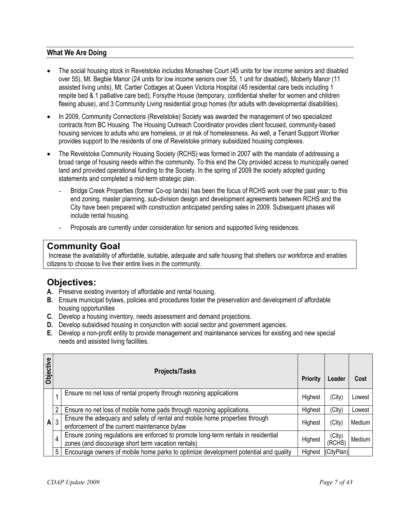#### **What We Are Doing**

- The social housing stock in Revelstoke includes Monashee Court (45 units for low income seniors and disabled over 55), Mt. Begbie Manor (24 units for low income seniors over 55, 1 unit for disabled), Moberly Manor (11 assisted living units), Mt. Cartier Cottages at Queen Victoria Hospital (45 residential care beds including 1 respite bed & 1 palliative care bed), Forsythe House (temporary, confidential shelter for women and children fleeing abuse), and 3 Community Living residential group homes (for adults with developmental disabilities).
- In 2009, Community Connections (Revelstoke) Society was awarded the management of two specialized contracts from BC Housing. The Housing Outreach Coordinator provides client focused, community-based housing services to adults who are homeless, or at risk of homelessness. As well, a Tenant Support Worker provides support to the residents of one of Revelstoke primary subsidized housing complexes.
- The Revelstoke Community Housing Society (RCHS) was formed in 2007 with the mandate of addressing a broad range of housing needs within the community. To this end the City provided access to municipally owned land and provided operational funding to the Society. In the spring of 2009 the society adopted guiding statements and completed a mid-term strategic plan.
	- Bridge Creek Properties (former Co-op lands) has been the focus of RCHS work over the past year; to this end zoning, master planning, sub-division design and development agreements between RCHS and the City have been prepared with construction anticipated pending sales in 2009. Subsequent phases will include rental housing.
	- Proposals are currently under consideration for seniors and supported living residences.

#### **Community Goal**

Increase the availability of affordable, suitable, adequate and safe housing that shelters our workforce and enables citizens to choose to live their entire lives in the community.

- **A.** Preserve existing inventory of affordable and rental housing.
- **B.** Ensure municipal bylaws, policies and procedures foster the preservation and development of affordable housing opportunities
- **C.** Develop a housing inventory, needs assessment and demand projections.
- **D.** Develop subsidised housing in conjunction with social sector and government agencies.
- **E.** Develop a non-profit entity to provide management and maintenance services for existing and new special needs and assisted living facilities.

| Objective |                | <b>Projects/Tasks</b>                                                                                                                    | <b>Priority</b> | Leader             | Cost   |
|-----------|----------------|------------------------------------------------------------------------------------------------------------------------------------------|-----------------|--------------------|--------|
|           |                | Ensure no net loss of rental property through rezoning applications                                                                      | Highest         | (City)             | Lowest |
|           | $\overline{2}$ | Ensure no net loss of mobile home pads through rezoning applications.                                                                    | Highest         | (City)             | Lowest |
| Α         | 3              | Ensure the adequacy and safety of rental and mobile home properties through<br>enforcement of the current maintenance bylaw              | Highest         | (City)             | Medium |
|           | 4              | Ensure zoning regulations are enforced to promote long-term rentals in residential<br>zones (and discourage short term vacation rentals) | Highest         | (City)<br>(RCHS)   | Medium |
|           | 5              | Encourage owners of mobile home parks to optimize development potential and quality                                                      |                 | Highest (CityPlan) |        |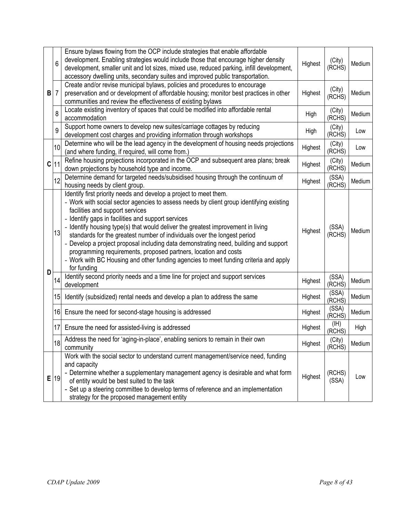|             | 6              | Ensure bylaws flowing from the OCP include strategies that enable affordable<br>development. Enabling strategies would include those that encourage higher density<br>development, smaller unit and lot sizes, mixed use, reduced parking, infill development,<br>accessory dwelling units, secondary suites and improved public transportation.                                                                                                                                                                                                                                                                                                                                        | Highest | (City)<br>(RCHS) | Medium |
|-------------|----------------|-----------------------------------------------------------------------------------------------------------------------------------------------------------------------------------------------------------------------------------------------------------------------------------------------------------------------------------------------------------------------------------------------------------------------------------------------------------------------------------------------------------------------------------------------------------------------------------------------------------------------------------------------------------------------------------------|---------|------------------|--------|
| B           | $\overline{7}$ | Create and/or revise municipal bylaws, policies and procedures to encourage<br>preservation and or development of affordable housing; monitor best practices in other<br>communities and review the effectiveness of existing bylaws                                                                                                                                                                                                                                                                                                                                                                                                                                                    | Highest | (City)<br>(RCHS) | Medium |
|             | 8              | Locate existing inventory of spaces that could be modified into affordable rental<br>accommodation                                                                                                                                                                                                                                                                                                                                                                                                                                                                                                                                                                                      | High    | (City)<br>(RCHS) | Medium |
|             | 9              | Support home owners to develop new suites/carriage cottages by reducing<br>development cost charges and providing information through workshops                                                                                                                                                                                                                                                                                                                                                                                                                                                                                                                                         | High    | (City)<br>(RCHS) | Low    |
|             | 10             | Determine who will be the lead agency in the development of housing needs projections<br>(and where funding, if required, will come from.)                                                                                                                                                                                                                                                                                                                                                                                                                                                                                                                                              | Highest | (City)<br>(RCHS) | Low    |
| $\mathbf C$ | 11             | Refine housing projections incorporated in the OCP and subsequent area plans; break<br>down projections by household type and income.                                                                                                                                                                                                                                                                                                                                                                                                                                                                                                                                                   | Highest | (City)<br>(RCHS) | Medium |
|             | 12             | Determine demand for targeted needs/subsidised housing through the continuum of<br>housing needs by client group.                                                                                                                                                                                                                                                                                                                                                                                                                                                                                                                                                                       | Highest | (SSA)<br>(RCHS)  | Medium |
|             | 13             | Identify first priority needs and develop a project to meet them.<br>- Work with social sector agencies to assess needs by client group identifying existing<br>facilities and support services<br>- Identify gaps in facilities and support services<br>- Identify housing type(s) that would deliver the greatest improvement in living<br>standards for the greatest number of individuals over the longest period<br>- Develop a project proposal including data demonstrating need, building and support<br>programming requirements, proposed partners, location and costs<br>- Work with BC Housing and other funding agencies to meet funding criteria and apply<br>for funding | Highest | (SSA)<br>(RCHS)  | Medium |
| D           | 14             | Identify second priority needs and a time line for project and support services<br>development                                                                                                                                                                                                                                                                                                                                                                                                                                                                                                                                                                                          | Highest | (SSA)<br>(RCHS)  | Medium |
|             | 15             | Identify (subsidized) rental needs and develop a plan to address the same                                                                                                                                                                                                                                                                                                                                                                                                                                                                                                                                                                                                               | Highest | (SSA)<br>(RCHS)  | Medium |
|             |                | 16 Ensure the need for second-stage housing is addressed                                                                                                                                                                                                                                                                                                                                                                                                                                                                                                                                                                                                                                | Highest | (SSA)<br>(RCHS)  | Medium |
|             |                | 17 Ensure the need for assisted-living is addressed                                                                                                                                                                                                                                                                                                                                                                                                                                                                                                                                                                                                                                     | Highest | (HH)<br>(RCHS)   | High   |
|             | 18             | Address the need for 'aging-in-place', enabling seniors to remain in their own<br>community                                                                                                                                                                                                                                                                                                                                                                                                                                                                                                                                                                                             | Highest | (City)<br>(RCHS) | Medium |
|             | $E$  19        | Work with the social sector to understand current management/service need, funding<br>and capacity<br>- Determine whether a supplementary management agency is desirable and what form<br>of entity would be best suited to the task<br>- Set up a steering committee to develop terms of reference and an implementation<br>strategy for the proposed management entity                                                                                                                                                                                                                                                                                                                | Highest | (RCHS)<br>(SSA)  | Low    |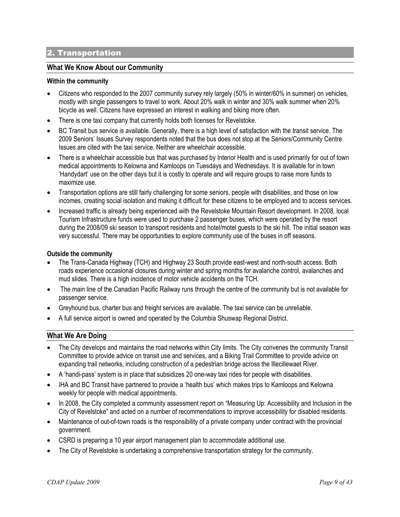#### 2. Transportation

#### **What We Know About our Community**

#### **Within the community**

- Citizens who responded to the 2007 community survey rely largely (50% in winter/60% in summer) on vehicles, mostly with single passengers to travel to work. About 20% walk in winter and 30% walk summer when 20% bicycle as well. Citizens have expressed an interest in walking and biking more often.
- There is one taxi company that currently holds both licenses for Revelstoke.
- BC Transit bus service is available. Generally, there is a high level of satisfaction with the transit service. The 2009 Seniors' Issues Survey respondents noted that the bus does not stop at the Seniors/Community Centre. Issues are cited with the taxi service. Neither are wheelchair accessible.
- There is a wheelchair accessible bus that was purchased by Interior Health and is used primarily for out of town medical appointments to Kelowna and Kamloops on Tuesdays and Wednesdays. It is available for in town 'Handydart' use on the other days but it is costly to operate and will require groups to raise more funds to maximize use.
- Transportation options are still fairly challenging for some seniors, people with disabilities, and those on low incomes, creating social isolation and making it difficult for these citizens to be employed and to access services.
- Increased traffic is already being experienced with the Revelstoke Mountain Resort development. In 2008, local Tourism Infrastructure funds were used to purchase 2 passenger buses, which were operated by the resort during the 2008/09 ski season to transport residents and hotel/motel guests to the ski hill. The initial season was very successful. There may be opportunities to explore community use of the buses in off seasons.

#### **Outside the community**

- The Trans-Canada Highway (TCH) and Highway 23 South provide east-west and north-south access. Both roads experience occasional closures during winter and spring months for avalanche control, avalanches and mud slides. There is a high incidence of motor vehicle accidents on the TCH.
- The main line of the Canadian Pacific Railway runs through the centre of the community but is not available for passenger service.
- Greyhound bus, charter bus and freight services are available. The taxi service can be unreliable.
- A full service airport is owned and operated by the Columbia Shuswap Regional District.

#### **What We Are Doing**

- The City develops and maintains the road networks within City limits. The City convenes the community Transit Committee to provide advice on transit use and services, and a Biking Trail Committee to provide advice on expanding trail networks, including construction of a pedestrian bridge across the Illecillewaet River.
- A 'handi-pass' system is in place that subsidizes 20 one-way taxi rides for people with disabilities.
- IHA and BC Transit have partnered to provide a 'health bus' which makes trips to Kamloops and Kelowna weekly for people with medical appointments.
- In 2008, the City completed a community assessment report on "Measuring Up: Accessibility and Inclusion in the City of Revelstoke" and acted on a number of recommendations to improve accessibility for disabled residents.
- Maintenance of out-of-town roads is the responsibility of a private company under contract with the provincial government.
- CSRD is preparing a 10 year airport management plan to accommodate additional use.
- The City of Revelstoke is undertaking a comprehensive transportation strategy for the community.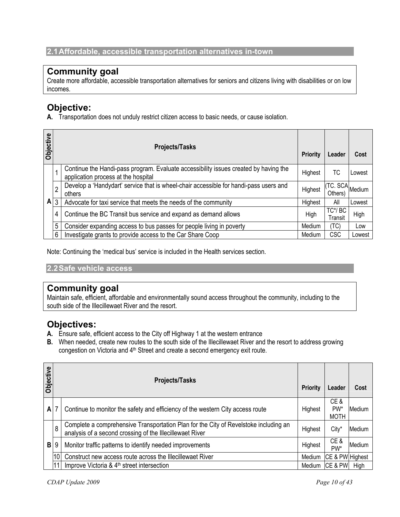## **Community goal**

Create more affordable, accessible transportation alternatives for seniors and citizens living with disabilities or on low incomes.

## **Objective:**

**A.** Transportation does not unduly restrict citizen access to basic needs, or cause isolation.

| <b>Objective</b> |                | <b>Projects/Tasks</b>                                                                                                       | <b>Priority</b> | Leader                      | Cost   |
|------------------|----------------|-----------------------------------------------------------------------------------------------------------------------------|-----------------|-----------------------------|--------|
|                  |                | Continue the Handi-pass program. Evaluate accessibility issues created by having the<br>application process at the hospital | Highest         | ТC                          | Lowest |
|                  | $\overline{2}$ | Develop a 'Handydart' service that is wheel-chair accessible for handi-pass users and<br>others                             | Highest         | I(TC. SCA Medium<br>Others) |        |
|                  | $A \mid 3$     | Advocate for taxi service that meets the needs of the community                                                             | Highest         | All                         | Lowest |
|                  | 4              | Continue the BC Transit bus service and expand as demand allows                                                             | High            | TC*/BC<br>Transit           | High   |
|                  | 5              | Consider expanding access to bus passes for people living in poverty                                                        | Medium          | (TC)                        | Low    |
|                  | 6              | Investigate grants to provide access to the Car Share Coop                                                                  | Medium          | CSC                         | Lowest |

Note: Continuing the 'medical bus' service is included in the Health services section.

**2.2 Safe vehicle access** 

## **Community goal**

Maintain safe, efficient, affordable and environmentally sound access throughout the community, including to the south side of the Illecillewaet River and the resort.

- **A.** Ensure safe, efficient access to the City off Highway 1 at the western entrance
- **B.** When needed, create new routes to the south side of the Illecillewaet River and the resort to address growing congestion on Victoria and 4<sup>th</sup> Street and create a second emergency exit route.

| Objective |    | <b>Projects/Tasks</b>                                                                                                                            | <b>Priority</b> | Leader                     | Cost   |
|-----------|----|--------------------------------------------------------------------------------------------------------------------------------------------------|-----------------|----------------------------|--------|
| A         |    | Continue to monitor the safety and efficiency of the western City access route                                                                   | Highest         | CE&<br>PW*<br>MOTH         | Medium |
|           | 8  | Complete a comprehensive Transportation Plan for the City of Revelstoke including an<br>analysis of a second crossing of the Illecillewaet River | Highest         | City*                      | Medium |
| B         | 9  | Monitor traffic patterns to identify needed improvements                                                                                         | Highest         | CE &<br>PW*                | Medium |
|           | 10 | Construct new access route across the Illecillewaet River                                                                                        | Medium          | <b>CE &amp; PW Highest</b> |        |
|           |    | Improve Victoria & 4 <sup>th</sup> street intersection                                                                                           | Medium          | CE & PW                    | High   |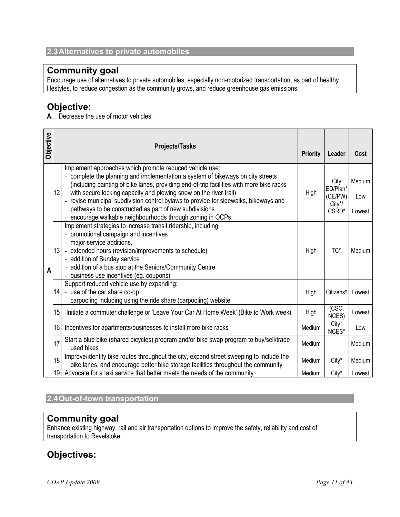## **Community goal**

Encourage use of alternatives to private automobiles, especially non-motorized transportation, as part of healthy lifestyles, to reduce congestion as the community grows, and reduce greenhouse gas emissions.

## **Objective:**

**A.** Decrease the use of motor vehicles.

| <b>Objective</b> |    | <b>Projects/Tasks</b>                                                                                                                                                                                                                                                                                                                                                                                                                                                                                                       | <b>Priority</b> | Leader                                         | Cost                    |
|------------------|----|-----------------------------------------------------------------------------------------------------------------------------------------------------------------------------------------------------------------------------------------------------------------------------------------------------------------------------------------------------------------------------------------------------------------------------------------------------------------------------------------------------------------------------|-----------------|------------------------------------------------|-------------------------|
|                  | 12 | Implement approaches which promote reduced vehicle use:<br>- complete the planning and implementation a system of bikeways on city streets<br>(including painting of bike lanes, providing end-of-trip facilities with more bike racks<br>with secure locking capacity and plowing snow on the river trail)<br>- revise municipal subdivision control bylaws to provide for sidewalks, bikeways and<br>pathways to be constructed as part of new subdivisions<br>- encourage walkable neighbourhoods through zoning in OCPs | High            | City<br>ED/Plan*<br>(CE/PW)<br>City*/<br>CSRD* | Medium<br>Low<br>Lowest |
| A                | 13 | Implement strategies to increase transit ridership, including:<br>- promotional campaign and incentives<br>- major service additions,<br>- extended hours (revision/improvements to schedule)<br>- addition of Sunday service<br>- addition of a bus stop at the Seniors/Community Centre<br>- business use incentives (eg. coupons)                                                                                                                                                                                        | High            | TC*                                            | Medium                  |
|                  | 14 | Support reduced vehicle use by expanding:<br>- use of the car share co-op.<br>- carpooling including using the ride share (carpooling) website                                                                                                                                                                                                                                                                                                                                                                              | High            | Citizens*                                      | Lowest                  |
|                  | 15 | Initiate a commuter challenge or 'Leave Your Car At Home Week' (Bike to Work week)                                                                                                                                                                                                                                                                                                                                                                                                                                          | High            | (CSC,<br>NCES)                                 | Lowest                  |
|                  | 16 | Incentives for apartments/businesses to install more bike racks                                                                                                                                                                                                                                                                                                                                                                                                                                                             | Medium          | City*<br>NCES*                                 | Low                     |
|                  | 17 | Start a blue bike (shared bicycles) program and/or bike swap program to buy/sell/trade<br>used bikes                                                                                                                                                                                                                                                                                                                                                                                                                        | Medium          |                                                | Medium                  |
|                  | 18 | Improve/identify bike routes throughout the city, expand street sweeping to include the<br>bike lanes, and encourage better bike storage facilities throughout the community                                                                                                                                                                                                                                                                                                                                                | Medium          | City*                                          | Medium                  |
|                  |    | 19 Advocate for a taxi service that better meets the needs of the community                                                                                                                                                                                                                                                                                                                                                                                                                                                 | Medium          | City*                                          | Lowest                  |

#### **2.4 Out-of-town transportation**

## **Community goal**

Enhance existing highway, rail and air transportation options to improve the safety, reliability and cost of transportation to Revelstoke.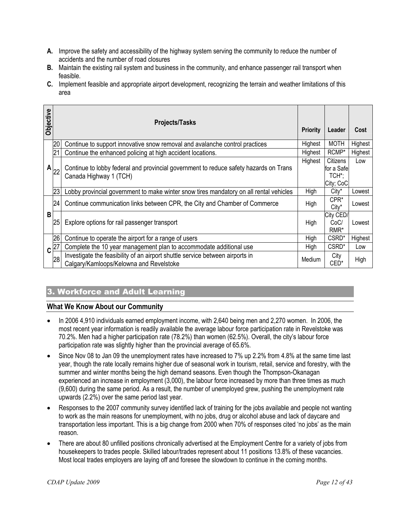- **A.** Improve the safety and accessibility of the highway system serving the community to reduce the number of accidents and the number of road closures
- **B.** Maintain the existing rail system and business in the community, and enhance passenger rail transport when feasible.
- **C.** Implement feasible and appropriate airport development, recognizing the terrain and weather limitations of this area

| Objective |           | <b>Projects/Tasks</b>                                                                                                    | <b>Priority</b> | Leader                                        | Cost    |
|-----------|-----------|--------------------------------------------------------------------------------------------------------------------------|-----------------|-----------------------------------------------|---------|
|           | 20        | Continue to support innovative snow removal and avalanche control practices                                              | Highest         | <b>MOTH</b>                                   | Highest |
|           | 21        | Continue the enhanced policing at high accident locations.                                                               | Highest         | RCMP*                                         | Highest |
|           | $A _{22}$ | Continue to lobby federal and provincial government to reduce safety hazards on Trans<br>Canada Highway 1 (TCH)          | Highest         | Citizens<br>for a Safel<br>TCH*;<br>City; CoC | Low     |
|           | 23        | Lobby provincial government to make winter snow tires mandatory on all rental vehicles                                   | High            | City*                                         | Lowest  |
|           | 24        | Continue communication links between CPR, the City and Chamber of Commerce                                               | High            | CPR*<br>City*                                 | Lowest  |
| B         | 25        | Explore options for rail passenger transport                                                                             | High            | City CED/<br>CoC/<br>RMR*                     | Lowest  |
|           | 26        | Continue to operate the airport for a range of users                                                                     | High            | CSRD*                                         | Highest |
|           | 27        | Complete the 10 year management plan to accommodate additional use                                                       | High            | CSRD*                                         | Low     |
| C         | 28        | Investigate the feasibility of an airport shuttle service between airports in<br>Calgary/Kamloops/Kelowna and Revelstoke | Medium          | City<br>CED*                                  | High    |

## 3. Workforce and Adult Learning

#### **What We Know About our Community**

- In 2006 4,910 individuals earned employment income, with 2,640 being men and 2,270 women. In 2006, the most recent year information is readily available the average labour force participation rate in Revelstoke was 70.2%. Men had a higher participation rate (78.2%) than women (62.5%). Overall, the city's labour force participation rate was slightly higher than the provincial average of 65.6%.
- Since Nov 08 to Jan 09 the unemployment rates have increased to 7% up 2.2% from 4.8% at the same time last year, though the rate locally remains higher due of seasonal work in tourism, retail, service and forestry, with the summer and winter months being the high demand seasons. Even though the Thompson-Okanagan experienced an increase in employment (3,000), the labour force increased by more than three times as much (9,600) during the same period. As a result, the number of unemployed grew, pushing the unemployment rate upwards (2.2%) over the same period last year.
- Responses to the 2007 community survey identified lack of training for the jobs available and people not wanting to work as the main reasons for unemployment, with no jobs, drug or alcohol abuse and lack of daycare and transportation less important. This is a big change from 2000 when 70% of responses cited 'no jobs' as the main reason.
- There are about 80 unfilled positions chronically advertised at the Employment Centre for a variety of jobs from housekeepers to trades people. Skilled labour/trades represent about 11 positions 13.8% of these vacancies. Most local trades employers are laying off and foresee the slowdown to continue in the coming months.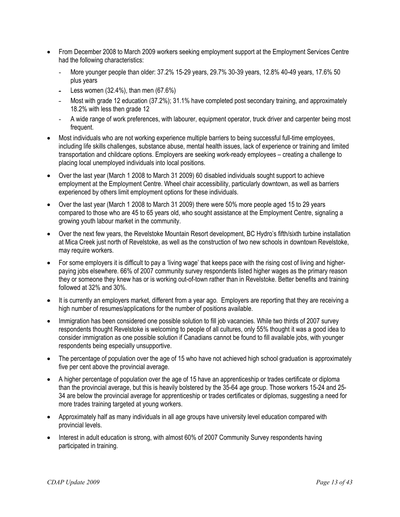- From December 2008 to March 2009 workers seeking employment support at the Employment Services Centre had the following characteristics:
	- More younger people than older: 37.2% 15-29 years, 29.7% 30-39 years, 12.8% 40-49 years, 17.6% 50 plus years
	- Less women (32.4%), than men (67.6%)
	- Most with grade 12 education (37.2%); 31.1% have completed post secondary training, and approximately 18.2% with less then grade 12
	- A wide range of work preferences, with labourer, equipment operator, truck driver and carpenter being most frequent.
- Most individuals who are not working experience multiple barriers to being successful full-time employees, including life skills challenges, substance abuse, mental health issues, lack of experience or training and limited transportation and childcare options. Employers are seeking work-ready employees – creating a challenge to placing local unemployed individuals into local positions.
- Over the last year (March 1 2008 to March 31 2009) 60 disabled individuals sought support to achieve employment at the Employment Centre. Wheel chair accessibility, particularly downtown, as well as barriers experienced by others limit employment options for these individuals.
- Over the last year (March 1 2008 to March 31 2009) there were 50% more people aged 15 to 29 years compared to those who are 45 to 65 years old, who sought assistance at the Employment Centre, signaling a growing youth labour market in the community.
- Over the next few years, the Revelstoke Mountain Resort development, BC Hydro's fifth/sixth turbine installation at Mica Creek just north of Revelstoke, as well as the construction of two new schools in downtown Revelstoke, may require workers.
- For some employers it is difficult to pay a 'living wage' that keeps pace with the rising cost of living and higherpaying jobs elsewhere. 66% of 2007 community survey respondents listed higher wages as the primary reason they or someone they knew has or is working out-of-town rather than in Revelstoke. Better benefits and training followed at 32% and 30%.
- It is currently an employers market, different from a year ago. Employers are reporting that they are receiving a high number of resumes/applications for the number of positions available.
- Immigration has been considered one possible solution to fill job vacancies. While two thirds of 2007 survey respondents thought Revelstoke is welcoming to people of all cultures, only 55% thought it was a good idea to consider immigration as one possible solution if Canadians cannot be found to fill available jobs, with younger respondents being especially unsupportive.
- The percentage of population over the age of 15 who have not achieved high school graduation is approximately five per cent above the provincial average.
- A higher percentage of population over the age of 15 have an apprenticeship or trades certificate or diploma than the provincial average, but this is heavily bolstered by the 35-64 age group. Those workers 15-24 and 25- 34 are below the provincial average for apprenticeship or trades certificates or diplomas, suggesting a need for more trades training targeted at young workers.
- Approximately half as many individuals in all age groups have university level education compared with provincial levels.
- Interest in adult education is strong, with almost 60% of 2007 Community Survey respondents having participated in training.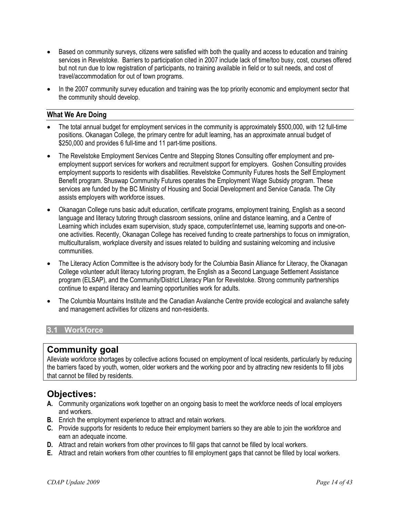- Based on community surveys, citizens were satisfied with both the quality and access to education and training services in Revelstoke. Barriers to participation cited in 2007 include lack of time/too busy, cost, courses offered but not run due to low registration of participants, no training available in field or to suit needs, and cost of travel/accommodation for out of town programs.
- In the 2007 community survey education and training was the top priority economic and employment sector that the community should develop.

#### **What We Are Doing**

- The total annual budget for employment services in the community is approximately \$500,000, with 12 full-time positions. Okanagan College, the primary centre for adult learning, has an approximate annual budget of \$250,000 and provides 6 full-time and 11 part-time positions.
- The Revelstoke Employment Services Centre and Stepping Stones Consulting offer employment and preemployment support services for workers and recruitment support for employers. Goshen Consulting provides employment supports to residents with disabilities. Revelstoke Community Futures hosts the Self Employment Benefit program. Shuswap Community Futures operates the Employment Wage Subsidy program. These services are funded by the BC Ministry of Housing and Social Development and Service Canada. The City assists employers with workforce issues.
- Okanagan College runs basic adult education, certificate programs, employment training, English as a second language and literacy tutoring through classroom sessions, online and distance learning, and a Centre of Learning which includes exam supervision, study space, computer/internet use, learning supports and one-onone activities. Recently, Okanagan College has received funding to create partnerships to focus on immigration, multiculturalism, workplace diversity and issues related to building and sustaining welcoming and inclusive communities.
- The Literacy Action Committee is the advisory body for the Columbia Basin Alliance for Literacy, the Okanagan College volunteer adult literacy tutoring program, the English as a Second Language Settlement Assistance program (ELSAP), and the Community/District Literacy Plan for Revelstoke. Strong community partnerships continue to expand literacy and learning opportunities work for adults.
- The Columbia Mountains Institute and the Canadian Avalanche Centre provide ecological and avalanche safety and management activities for citizens and non-residents.

#### **3.1 Workforce**

## **Community goal**

Alleviate workforce shortages by collective actions focused on employment of local residents, particularly by reducing the barriers faced by youth, women, older workers and the working poor and by attracting new residents to fill jobs that cannot be filled by residents.

- **A.** Community organizations work together on an ongoing basis to meet the workforce needs of local employers and workers.
- **B.** Enrich the employment experience to attract and retain workers.
- **C.** Provide supports for residents to reduce their employment barriers so they are able to join the workforce and earn an adequate income.
- **D.** Attract and retain workers from other provinces to fill gaps that cannot be filled by local workers.
- **E.** Attract and retain workers from other countries to fill employment gaps that cannot be filled by local workers.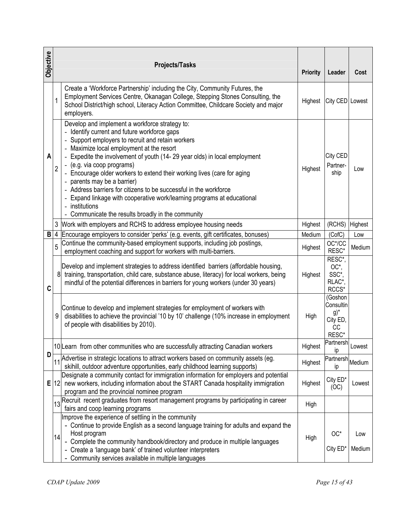| Objective |                                   | <b>Projects/Tasks</b>                                                                                                                                                                                                                                                                                                                                                                                                                                                                                                                                                                                                                 | <b>Priority</b> | Leader                                                    | Cost          |  |  |
|-----------|-----------------------------------|---------------------------------------------------------------------------------------------------------------------------------------------------------------------------------------------------------------------------------------------------------------------------------------------------------------------------------------------------------------------------------------------------------------------------------------------------------------------------------------------------------------------------------------------------------------------------------------------------------------------------------------|-----------------|-----------------------------------------------------------|---------------|--|--|
|           | 1                                 | Create a 'Workforce Partnership' including the City, Community Futures, the<br>Employment Services Centre, Okanagan College, Stepping Stones Consulting, the<br>School District/high school, Literacy Action Committee, Childcare Society and major<br>employers.                                                                                                                                                                                                                                                                                                                                                                     |                 | Highest   City CED   Lowest                               |               |  |  |
| A         | $\overline{2}$                    | Develop and implement a workforce strategy to:<br>- Identify current and future workforce gaps<br>Support employers to recruit and retain workers<br>- Maximize local employment at the resort<br>- Expedite the involvement of youth (14-29 year olds) in local employment<br>- (e.g. via coop programs)<br>- Encourage older workers to extend their working lives (care for aging<br>parents may be a barrier)<br>- Address barriers for citizens to be successful in the workforce<br>Expand linkage with cooperative work/learning programs at educational<br>institutions<br>- Communicate the results broadly in the community | Highest         | City CED<br>Partner-<br>ship                              | Low           |  |  |
|           | 3                                 | Work with employers and RCHS to address employee housing needs                                                                                                                                                                                                                                                                                                                                                                                                                                                                                                                                                                        | Highest         | (RCHS)                                                    | Highest       |  |  |
|           |                                   | $B/4$ Encourage employers to consider 'perks' (e.g. events, gift certificates, bonuses)                                                                                                                                                                                                                                                                                                                                                                                                                                                                                                                                               | Medium          | (CofC)                                                    | Low           |  |  |
|           | 5                                 | Continue the community-based employment supports, including job postings,<br>employment coaching and support for workers with multi-barriers.                                                                                                                                                                                                                                                                                                                                                                                                                                                                                         | Highest         | OC*/CC<br>RESC*                                           | Medium        |  |  |
| C         | 8                                 | Develop and implement strategies to address identified barriers (affordable housing,<br>training, transportation, child care, substance abuse, literacy) for local workers, being<br>mindful of the potential differences in barriers for young workers (under 30 years)                                                                                                                                                                                                                                                                                                                                                              | Highest         | RESC*,<br>$OC^*$<br>SSC*,<br>RLAC*,<br>RCCS*              |               |  |  |
|           | 9                                 | Continue to develop and implement strategies for employment of workers with<br>disabilities to achieve the provincial '10 by 10' challenge (10% increase in employment<br>of people with disabilities by 2010).                                                                                                                                                                                                                                                                                                                                                                                                                       | High            | (Goshon<br>Consultin<br>$g)^*$<br>City ED,<br>CC<br>RESC* |               |  |  |
| D         |                                   | 10 Learn from other communities who are successfully attracting Canadian workers                                                                                                                                                                                                                                                                                                                                                                                                                                                                                                                                                      | Highest         | Partnersh Lowest                                          |               |  |  |
|           | 11                                | Advertise in strategic locations to attract workers based on community assets (eg.<br>skihill, outdoor adventure opportunities, early childhood learning supports)                                                                                                                                                                                                                                                                                                                                                                                                                                                                    | Highest         | Partnersh <sub>Medium</sub><br>ıp                         |               |  |  |
|           | $E$ 12                            | Designate a community contact for immigration information for employers and potential<br>new workers, including information about the START Canada hospitality immigration<br>program and the provincial nominee program                                                                                                                                                                                                                                                                                                                                                                                                              | Highest         | City ED*<br>(OC)                                          | Lowest        |  |  |
|           | 13                                | Recruit recent graduates from resort management programs by participating in career<br>fairs and coop learning programs                                                                                                                                                                                                                                                                                                                                                                                                                                                                                                               | High            |                                                           |               |  |  |
|           | 14                                | Improve the experience of settling in the community<br>- Continue to provide English as a second language training for adults and expand the<br>Host program<br>- Complete the community handbook/directory and produce in multiple languages<br>- Create a 'language bank' of trained volunteer interpreters<br>- Community services available in multiple languages                                                                                                                                                                                                                                                                 | High            | $OC^*$<br>City ED*                                        | Low<br>Medium |  |  |
|           | CDAP Update 2009<br>Page 15 of 43 |                                                                                                                                                                                                                                                                                                                                                                                                                                                                                                                                                                                                                                       |                 |                                                           |               |  |  |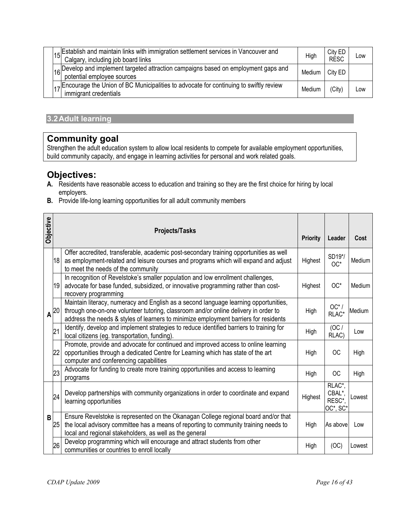| 15 | $_{16}$ Establish and maintain links with immigration settlement services in Vancouver and<br>Calgary, including job board links | High   | City ED<br><b>RESC</b> | Low |
|----|----------------------------------------------------------------------------------------------------------------------------------|--------|------------------------|-----|
|    | 16 Develop and implement targeted attraction campaigns based on employment gaps and<br>potential employee sources                | Medium | City ED                |     |
|    | <sub>47</sub> Encourage the Union of BC Municipalities to advocate for continuing to swiftly review<br>immigrant credentials     | Medium | (City)                 | Low |

#### **3.2 Adult learning**

## **Community goal**

Strengthen the adult education system to allow local residents to compete for available employment opportunities, build community capacity, and engage in learning activities for personal and work related goals.

- **A.** Residents have reasonable access to education and training so they are the first choice for hiring by local employers.
- **B.** Provide life-long learning opportunities for all adult community members

| Objective  |    | <b>Projects/Tasks</b>                                                                                                                                                                                                                                               | <b>Priority</b> | Leader                                 | Cost   |
|------------|----|---------------------------------------------------------------------------------------------------------------------------------------------------------------------------------------------------------------------------------------------------------------------|-----------------|----------------------------------------|--------|
|            | 18 | Offer accredited, transferable, academic post-secondary training opportunities as well<br>as employment-related and leisure courses and programs which will expand and adjust<br>to meet the needs of the community                                                 | Highest         | SD19*/<br>$OC^*$                       | Medium |
|            | 19 | In recognition of Revelstoke's smaller population and low enrollment challenges,<br>advocate for base funded, subsidized, or innovative programming rather than cost-<br>recovery programming                                                                       | Highest         | $OC^*$                                 | Medium |
| $ A ^{20}$ |    | Maintain literacy, numeracy and English as a second language learning opportunities,<br>through one-on-one volunteer tutoring, classroom and/or online delivery in order to<br>address the needs & styles of learners to minimize employment barriers for residents | High            | $OC*$ /<br>RLAC*                       | Medium |
|            | 21 | Identify, develop and implement strategies to reduce identified barriers to training for<br>local citizens (eg. transportation, funding).                                                                                                                           | High            | (OC/<br>RLAC)                          | Low    |
|            | 22 | Promote, provide and advocate for continued and improved access to online learning<br>opportunities through a dedicated Centre for Learning which has state of the art<br>computer and conferencing capabilities                                                    | High            | <b>OC</b>                              | High   |
|            | 23 | Advocate for funding to create more training opportunities and access to learning<br>programs                                                                                                                                                                       | High            | <b>OC</b>                              | High   |
| B          | 24 | Develop partnerships with community organizations in order to coordinate and expand<br>learning opportunities                                                                                                                                                       | Highest         | RLAC*,<br>CBAL*,<br>RESC*,<br>OC*, SC* | Lowest |
|            | 25 | Ensure Revelstoke is represented on the Okanagan College regional board and/or that<br>the local advisory committee has a means of reporting to community training needs to<br>local and regional stakeholders, as well as the general                              | High            | As above                               | Low    |
|            | 26 | Develop programming which will encourage and attract students from other<br>communities or countries to enroll locally                                                                                                                                              | High            | (OC)                                   | Lowest |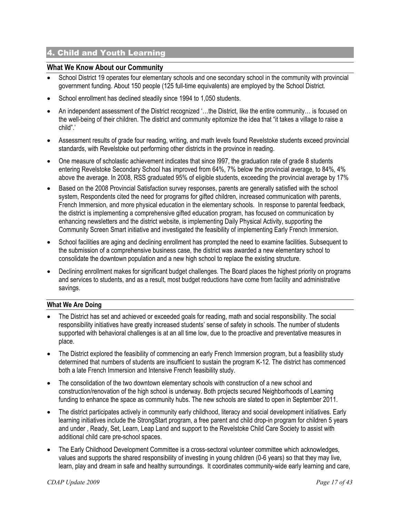## 4. Child and Youth Learning

#### **What We Know About our Community**

- School District 19 operates four elementary schools and one secondary school in the community with provincial government funding. About 150 people (125 full-time equivalents) are employed by the School District.
- School enrollment has declined steadily since 1994 to 1,050 students.
- An independent assessment of the District recognized '…the District, like the entire community… is focused on the well-being of their children. The district and community epitomize the idea that "it takes a village to raise a child".'
- Assessment results of grade four reading, writing, and math levels found Revelstoke students exceed provincial standards, with Revelstoke out performing other districts in the province in reading.
- One measure of scholastic achievement indicates that since I997, the graduation rate of grade 8 students entering Revelstoke Secondary School has improved from 64%, 7% below the provincial average, to 84%, 4% above the average. In 2008, RSS graduated 95% of eligible students, exceeding the provincial average by 17%
- Based on the 2008 Provincial Satisfaction survey responses, parents are generally satisfied with the school system, Respondents cited the need for programs for gifted children, increased communication with parents, French Immersion, and more physical education in the elementary schools. In response to parental feedback, the district is implementing a comprehensive gifted education program, has focused on communication by enhancing newsletters and the district website, is implementing Daily Physical Activity, supporting the Community Screen Smart initiative and investigated the feasibility of implementing Early French Immersion.
- School facilities are aging and declining enrollment has prompted the need to examine facilities. Subsequent to the submission of a comprehensive business case, the district was awarded a new elementary school to consolidate the downtown population and a new high school to replace the existing structure.
- Declining enrollment makes for significant budget challenges. The Board places the highest priority on programs and services to students, and as a result, most budget reductions have come from facility and administrative savings.

#### **What We Are Doing**

- The District has set and achieved or exceeded goals for reading, math and social responsibility. The social responsibility initiatives have greatly increased students' sense of safety in schools. The number of students supported with behavioral challenges is at an all time low, due to the proactive and preventative measures in place.
- The District explored the feasibility of commencing an early French Immersion program, but a feasibility study determined that numbers of students are insufficient to sustain the program K-12. The district has commenced both a late French Immersion and Intensive French feasibility study.
- The consolidation of the two downtown elementary schools with construction of a new school and construction/renovation of the high school is underway. Both projects secured Neighborhoods of Learning funding to enhance the space as community hubs. The new schools are slated to open in September 2011.
- The district participates actively in community early childhood, literacy and social development initiatives. Early learning initiatives include the StrongStart program, a free parent and child drop-in program for children 5 years and under , Ready, Set, Learn, Leap Land and support to the Revelstoke Child Care Society to assist with additional child care pre-school spaces.
- The Early Childhood Development Committee is a cross-sectoral volunteer committee which acknowledges, values and supports the shared responsibility of investing in young children (0-6 years) so that they may live, learn, play and dream in safe and healthy surroundings. It coordinates community-wide early learning and care,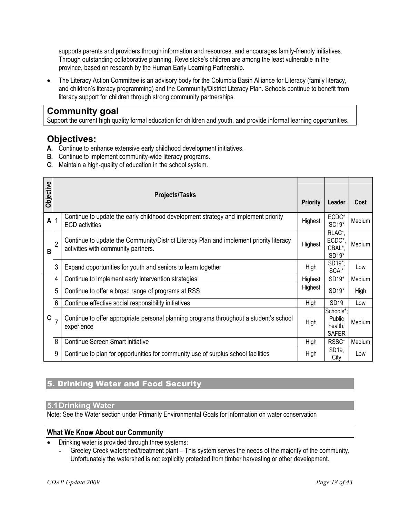supports parents and providers through information and resources, and encourages family-friendly initiatives. Through outstanding collaborative planning, Revelstoke's children are among the least vulnerable in the province, based on research by the Human Early Learning Partnership.

• The Literacy Action Committee is an advisory body for the Columbia Basin Alliance for Literacy (family literacy, and children's literacy programming) and the Community/District Literacy Plan. Schools continue to benefit from literacy support for children through strong community partnerships.

## **Community goal**

Support the current high quality formal education for children and youth, and provide informal learning opportunities.

## **Objectives:**

- **A.** Continue to enhance extensive early childhood development initiatives.
- **B.** Continue to implement community-wide literacy programs.
- **C.** Maintain a high-quality of education in the school system.

| Objective          |                | <b>Projects/Tasks</b>                                                                                                          | <b>Priority</b> | Leader                                         | Cost   |
|--------------------|----------------|--------------------------------------------------------------------------------------------------------------------------------|-----------------|------------------------------------------------|--------|
| $\pmb{\mathsf{A}}$ |                | Continue to update the early childhood development strategy and implement priority<br><b>ECD</b> activities                    | Highest         | ECDC*<br>SC19*                                 | Medium |
| B                  | $\overline{2}$ | Continue to update the Community/District Literacy Plan and implement priority literacy<br>activities with community partners. | Highest         | RLAC*,<br>ECDC*<br>CBAL*,<br>SD19*             | Medium |
|                    | 3              | Expand opportunities for youth and seniors to learn together                                                                   | High            | SD19*,<br>SCA.*                                | Low    |
|                    | 4              | Continue to implement early intervention strategies                                                                            | Highest         | SD19*                                          | Medium |
|                    | 5              | Continue to offer a broad range of programs at RSS                                                                             | Highest         | $SD19*$                                        | High   |
|                    | 6              | Continue effective social responsibility initiatives                                                                           | High            | <b>SD19</b>                                    | Low    |
| C                  |                | Continue to offer appropriate personal planning programs throughout a student's school<br>experience                           | High            | Schools*;<br>Public<br>health;<br><b>SAFER</b> | Medium |
|                    | 8              | <b>Continue Screen Smart initiative</b>                                                                                        | High            | RSSC*                                          | Medium |
|                    | 9              | Continue to plan for opportunities for community use of surplus school facilities                                              | High            | SD19,<br>City                                  | Low    |

## 5. Drinking Water and Food Security

#### **5.1 Drinking Water**

Note: See the Water section under Primarily Environmental Goals for information on water conservation

#### **What We Know About our Community**

- Drinking water is provided through three systems:
	- Greeley Creek watershed/treatment plant This system serves the needs of the majority of the community. Unfortunately the watershed is not explicitly protected from timber harvesting or other development.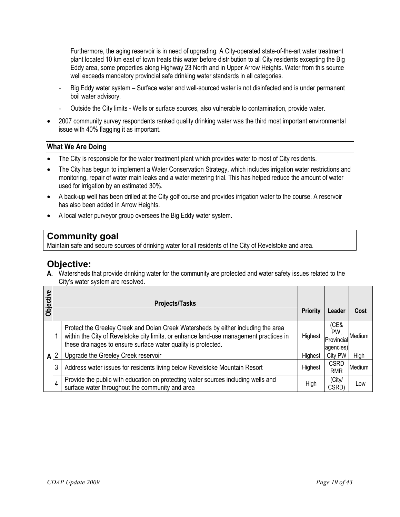Furthermore, the aging reservoir is in need of upgrading. A City-operated state-of-the-art water treatment plant located 10 km east of town treats this water before distribution to all City residents excepting the Big Eddy area, some properties along Highway 23 North and in Upper Arrow Heights. Water from this source well exceeds mandatory provincial safe drinking water standards in all categories.

- Big Eddy water system Surface water and well-sourced water is not disinfected and is under permanent boil water advisory.
- Outside the City limits Wells or surface sources, also vulnerable to contamination, provide water.
- 2007 community survey respondents ranked quality drinking water was the third most important environmental issue with 40% flagging it as important.

#### **What We Are Doing**

- The City is responsible for the water treatment plant which provides water to most of City residents.
- The City has begun to implement a Water Conservation Strategy, which includes irrigation water restrictions and monitoring, repair of water main leaks and a water metering trial. This has helped reduce the amount of water used for irrigation by an estimated 30%.
- A back-up well has been drilled at the City golf course and provides irrigation water to the course. A reservoir has also been added in Arrow Heights.
- A local water purveyor group oversees the Big Eddy water system.

## **Community goal**

Maintain safe and secure sources of drinking water for all residents of the City of Revelstoke and area.

## **Objective:**

**A.** Watersheds that provide drinking water for the community are protected and water safety issues related to the City's water system are resolved.

| <b>Objective</b> |   | <b>Projects/Tasks</b>                                                                                                                                                                                                                        | <b>Priority</b> | Leader                                         | Cost   |
|------------------|---|----------------------------------------------------------------------------------------------------------------------------------------------------------------------------------------------------------------------------------------------|-----------------|------------------------------------------------|--------|
|                  |   | Protect the Greeley Creek and Dolan Creek Watersheds by either including the area<br>within the City of Revelstoke city limits, or enhance land-use management practices in<br>these drainages to ensure surface water quality is protected. | Highest         | (CE&<br>PW.<br><b>IProvincial</b><br>agencies) | Medium |
| $\mathsf{A}$     |   | Upgrade the Greeley Creek reservoir                                                                                                                                                                                                          | Highest         | City PW                                        | High   |
|                  | 3 | Address water issues for residents living below Revelstoke Mountain Resort                                                                                                                                                                   | Highest         | <b>CSRD</b><br><b>RMR</b>                      | Medium |
|                  | 4 | Provide the public with education on protecting water sources including wells and<br>surface water throughout the community and area                                                                                                         | High            | (City/<br><b>CSRD</b>                          | Low    |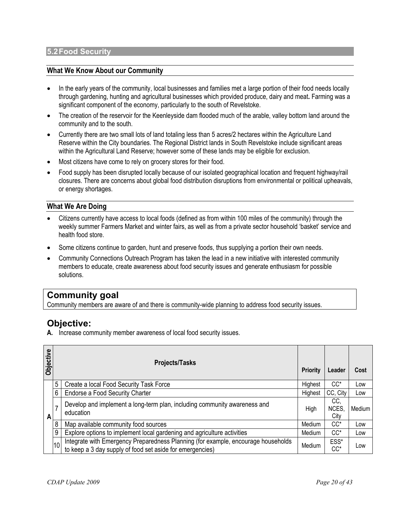#### **What We Know About our Community**

- In the early years of the community, local businesses and families met a large portion of their food needs locally through gardening, hunting and agricultural businesses which provided produce, dairy and meat**.** Farming was a significant component of the economy, particularly to the south of Revelstoke.
- The creation of the reservoir for the Keenleyside dam flooded much of the arable, valley bottom land around the community and to the south.
- Currently there are two small lots of land totaling less than 5 acres/2 hectares within the Agriculture Land Reserve within the City boundaries. The Regional District lands in South Revelstoke include significant areas within the Agricultural Land Reserve; however some of these lands may be eligible for exclusion.
- Most citizens have come to rely on grocery stores for their food.
- Food supply has been disrupted locally because of our isolated geographical location and frequent highway/rail closures. There are concerns about global food distribution disruptions from environmental or political upheavals, or energy shortages.

#### **What We Are Doing**

- Citizens currently have access to local foods (defined as from within 100 miles of the community) through the weekly summer Farmers Market and winter fairs, as well as from a private sector household 'basket' service and health food store.
- Some citizens continue to garden, hunt and preserve foods, thus supplying a portion their own needs.
- Community Connections Outreach Program has taken the lead in a new initiative with interested community members to educate, create awareness about food security issues and generate enthusiasm for possible solutions.

## **Community goal**

Community members are aware of and there is community-wide planning to address food security issues.

#### **Objective:**

**A.** Increase community member awareness of local food security issues.

| <b>Objective</b> |                 | <b>Projects/Tasks</b>                                                                                                                          | <b>Priority</b> | Leader               | Cost   |
|------------------|-----------------|------------------------------------------------------------------------------------------------------------------------------------------------|-----------------|----------------------|--------|
| A                | 5               | Create a local Food Security Task Force                                                                                                        | Highest         | CC*                  | Low    |
|                  | 6               | Endorse a Food Security Charter                                                                                                                | Highest         | CC, City             | Low    |
|                  |                 | Develop and implement a long-term plan, including community awareness and<br>education                                                         | High            | CC.<br>NCES,<br>City | Medium |
|                  | 8               | Map available community food sources                                                                                                           | Medium          | CC*                  | Low    |
|                  | 9               | Explore options to implement local gardening and agriculture activities                                                                        | Medium          | $CC^*$               | Low    |
|                  | 10 <sub>1</sub> | Integrate with Emergency Preparedness Planning (for example, encourage households<br>to keep a 3 day supply of food set aside for emergencies) | Medium          | ESS*<br>$CC^*$       | Low    |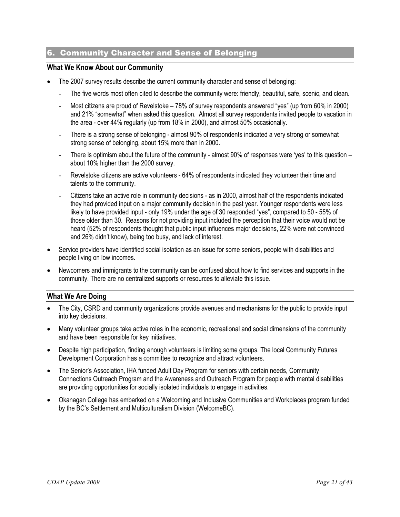#### 6. Community Character and Sense of Belonging

#### **What We Know About our Community**

- The 2007 survey results describe the current community character and sense of belonging:
	- The five words most often cited to describe the community were: friendly, beautiful, safe, scenic, and clean.
	- Most citizens are proud of Revelstoke 78% of survey respondents answered "yes" (up from 60% in 2000) and 21% "somewhat" when asked this question. Almost all survey respondents invited people to vacation in the area - over 44% regularly (up from 18% in 2000), and almost 50% occasionally.
	- There is a strong sense of belonging almost 90% of respondents indicated a very strong or somewhat strong sense of belonging, about 15% more than in 2000.
	- There is optimism about the future of the community almost  $90\%$  of responses were 'yes' to this question about 10% higher than the 2000 survey.
	- Revelstoke citizens are active volunteers 64% of respondents indicated they volunteer their time and talents to the community.
	- Citizens take an active role in community decisions as in 2000, almost half of the respondents indicated they had provided input on a major community decision in the past year. Younger respondents were less likely to have provided input - only 19% under the age of 30 responded "yes", compared to 50 - 55% of those older than 30. Reasons for not providing input included the perception that their voice would not be heard (52% of respondents thought that public input influences major decisions, 22% were not convinced and 26% didn't know), being too busy, and lack of interest.
- Service providers have identified social isolation as an issue for some seniors, people with disabilities and people living on low incomes.
- Newcomers and immigrants to the community can be confused about how to find services and supports in the community. There are no centralized supports or resources to alleviate this issue.

#### **What We Are Doing**

- The City, CSRD and community organizations provide avenues and mechanisms for the public to provide input into key decisions.
- Many volunteer groups take active roles in the economic, recreational and social dimensions of the community and have been responsible for key initiatives.
- Despite high participation, finding enough volunteers is limiting some groups. The local Community Futures Development Corporation has a committee to recognize and attract volunteers.
- The Senior's Association, IHA funded Adult Day Program for seniors with certain needs, Community Connections Outreach Program and the Awareness and Outreach Program for people with mental disabilities are providing opportunities for socially isolated individuals to engage in activities.
- Okanagan College has embarked on a Welcoming and Inclusive Communities and Workplaces program funded by the BC's Settlement and Multiculturalism Division (WelcomeBC).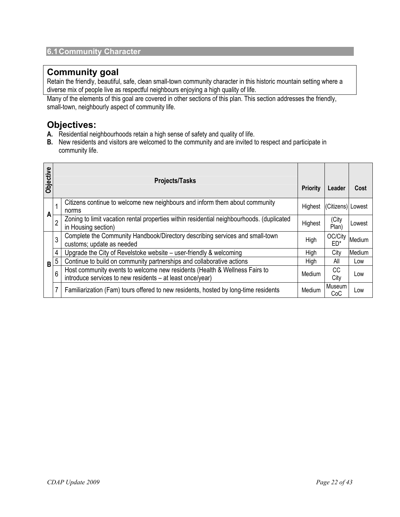## **Community goal**

Retain the friendly, beautiful, safe, clean small-town community character in this historic mountain setting where a diverse mix of people live as respectful neighbours enjoying a high quality of life.

Many of the elements of this goal are covered in other sections of this plan. This section addresses the friendly, small-town, neighbourly aspect of community life.

- **A.** Residential neighbourhoods retain a high sense of safety and quality of life.
- **B.** New residents and visitors are welcomed to the community and are invited to respect and participate in community life.

| Objective |                | <b>Projects/Tasks</b>                                                                                                                   | <b>Priority</b> | Leader            | Cost   |
|-----------|----------------|-----------------------------------------------------------------------------------------------------------------------------------------|-----------------|-------------------|--------|
| A         |                | Citizens continue to welcome new neighbours and inform them about community<br>norms                                                    | Highest         | (Citizens) Lowest |        |
|           | $\overline{2}$ | Zoning to limit vacation rental properties within residential neighbourhoods. (duplicated<br>in Housing section)                        | Highest         | (City<br>Plan)    | Lowest |
|           | 3              | Complete the Community Handbook/Directory describing services and small-town<br>customs; update as needed                               | High            | OC/City<br>$FD^*$ | Medium |
|           | 4              | Upgrade the City of Revelstoke website – user-friendly & welcoming                                                                      | High            | City              | Medium |
| B         | 5              | Continue to build on community partnerships and collaborative actions                                                                   | High            | All               | Low    |
|           | 6              | Host community events to welcome new residents (Health & Wellness Fairs to<br>introduce services to new residents - at least once/year) | Medium          | СC<br>City        | Low    |
|           |                | Familiarization (Fam) tours offered to new residents, hosted by long-time residents                                                     | Medium          | Museum<br>CoC     | Low    |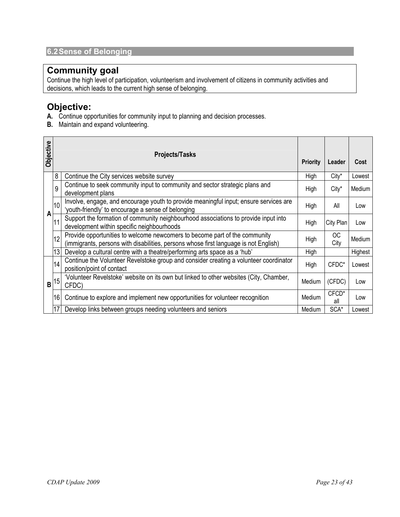## **Community goal**

Continue the high level of participation, volunteerism and involvement of citizens in community activities and decisions, which leads to the current high sense of belonging.

- **A.** Continue opportunities for community input to planning and decision processes.
- **B.** Maintain and expand volunteering.

| Objective |    | <b>Projects/Tasks</b>                                                                                                                                              | <b>Priority</b> | Leader       | Cost    |
|-----------|----|--------------------------------------------------------------------------------------------------------------------------------------------------------------------|-----------------|--------------|---------|
|           | 8  | Continue the City services website survey                                                                                                                          | High            | City*        | Lowest  |
|           | 9  | Continue to seek community input to community and sector strategic plans and<br>development plans                                                                  | High            | City*        | Medium  |
|           | 10 | Involve, engage, and encourage youth to provide meaningful input; ensure services are<br>'youth-friendly' to encourage a sense of belonging                        | High            | All          | Low     |
| A         | 11 | Support the formation of community neighbourhood associations to provide input into<br>development within specific neighbourhoods                                  | High            | City Plan    | Low     |
|           | 12 | Provide opportunities to welcome newcomers to become part of the community<br>(immigrants, persons with disabilities, persons whose first language is not English) | High            | ОC<br>City   | Medium  |
|           | 13 | Develop a cultural centre with a theatre/performing arts space as a 'hub'                                                                                          | High            |              | Highest |
|           | 14 | Continue the Volunteer Revelstoke group and consider creating a volunteer coordinator<br>position/point of contact                                                 | High            | CFDC*        | Lowest  |
| B         | 15 | 'Volunteer Revelstoke' website on its own but linked to other websites (City, Chamber,<br>CFDC)                                                                    | Medium          | (CFDC)       | Low     |
|           | 16 | Continue to explore and implement new opportunities for volunteer recognition                                                                                      | Medium          | CFCD*<br>all | Low     |
|           |    | Develop links between groups needing volunteers and seniors                                                                                                        | Medium          | SCA*         | Lowest  |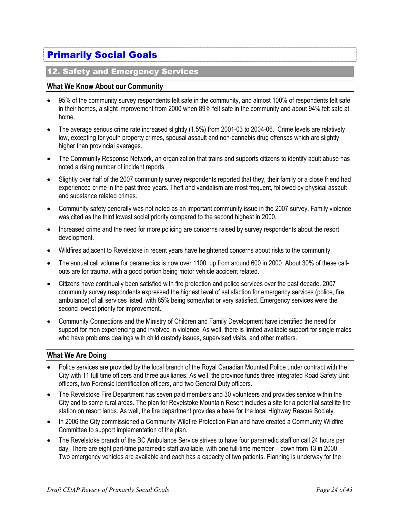## Primarily Social Goals

#### 12. Safety and Emergency Services

#### **What We Know About our Community**

- 95% of the community survey respondents felt safe in the community, and almost 100% of respondents felt safe in their homes, a slight improvement from 2000 when 89% felt safe in the community and about 94% felt safe at home.
- The average serious crime rate increased slightly (1.5%) from 2001-03 to 2004-06. Crime levels are relatively low, excepting for youth property crimes, spousal assault and non-cannabis drug offenses which are slightly higher than provincial averages.
- The Community Response Network, an organization that trains and supports citizens to identify adult abuse has noted a rising number of incident reports.
- Slightly over half of the 2007 community survey respondents reported that they, their family or a close friend had experienced crime in the past three years. Theft and vandalism are most frequent, followed by physical assault and substance related crimes.
- Community safety generally was not noted as an important community issue in the 2007 survey. Family violence was cited as the third lowest social priority compared to the second highest in 2000.
- Increased crime and the need for more policing are concerns raised by survey respondents about the resort development.
- Wildfires adjacent to Revelstoke in recent years have heightened concerns about risks to the community.
- The annual call volume for paramedics is now over 1100, up from around 600 in 2000. About 30% of these callouts are for trauma, with a good portion being motor vehicle accident related.
- Citizens have continually been satisfied with fire protection and police services over the past decade. 2007 community survey respondents expressed the highest level of satisfaction for emergency services (police, fire, ambulance) of all services listed, with 85% being somewhat or very satisfied. Emergency services were the second lowest priority for improvement.
- Community Connections and the Ministry of Children and Family Development have identified the need for support for men experiencing and involved in violence. As well, there is limited available support for single males who have problems dealings with child custody issues, supervised visits, and other matters.

#### **What We Are Doing**

- Police services are provided by the local branch of the Royal Canadian Mounted Police under contract with the City with 11 full time officers and three auxiliaries. As well, the province funds three Integrated Road Safety Unit officers, two Forensic Identification officers, and two General Duty officers.
- The Revelstoke Fire Department has seven paid members and 30 volunteers and provides service within the City and to some rural areas. The plan for Revelstoke Mountain Resort includes a site for a potential satellite fire station on resort lands. As well, the fire department provides a base for the local Highway Rescue Society.
- In 2006 the City commissioned a Community Wildfire Protection Plan and have created a Community Wildfire Committee to support implementation of the plan.
- The Revelstoke branch of the BC Ambulance Service strives to have four paramedic staff on call 24 hours per day. There are eight part-time paramedic staff available, with one full-time member – down from 13 in 2000. Two emergency vehicles are available and each has a capacity of two patients. Planning is underway for the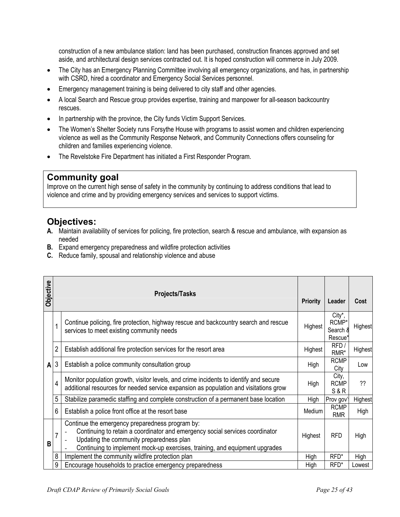construction of a new ambulance station: land has been purchased, construction finances approved and set aside, and architectural design services contracted out. It is hoped construction will commerce in July 2009.

- The City has an Emergency Planning Committee involving all emergency organizations, and has, in partnership with CSRD, hired a coordinator and Emergency Social Services personnel.
- Emergency management training is being delivered to city staff and other agencies.
- A local Search and Rescue group provides expertise, training and manpower for all-season backcountry rescues.
- In partnership with the province, the City funds Victim Support Services.
- The Women's Shelter Society runs Forsythe House with programs to assist women and children experiencing violence as well as the Community Response Network, and Community Connections offers counseling for children and families experiencing violence.
- The Revelstoke Fire Department has initiated a First Responder Program.

## **Community goal**

Improve on the current high sense of safety in the community by continuing to address conditions that lead to violence and crime and by providing emergency services and services to support victims.

- **A.** Maintain availability of services for policing, fire protection, search & rescue and ambulance, with expansion as needed
- **B.** Expand emergency preparedness and wildfire protection activities
- **C.** Reduce family, spousal and relationship violence and abuse

| <b>Objective</b> |                | <b>Projects/Tasks</b>                                                                                                                                                                                                                                      | <b>Priority</b> | Leader                                 | Cost    |
|------------------|----------------|------------------------------------------------------------------------------------------------------------------------------------------------------------------------------------------------------------------------------------------------------------|-----------------|----------------------------------------|---------|
|                  | $\overline{1}$ | Continue policing, fire protection, highway rescue and backcountry search and rescue<br>services to meet existing community needs                                                                                                                          | Highest         | City*,<br>RCMP*<br>Search &<br>Rescue* | Highest |
| A                | $\overline{2}$ | Establish additional fire protection services for the resort area                                                                                                                                                                                          | Highest         | RFD/<br>RMR*                           | Highest |
|                  | 3              | Establish a police community consultation group                                                                                                                                                                                                            | High            | <b>RCMP</b><br>City                    | Low     |
|                  | $\overline{4}$ | Monitor population growth, visitor levels, and crime incidents to identify and secure<br>additional resources for needed service expansion as population and visitations grow                                                                              | High            | City,<br><b>RCMP</b><br>S&R            | ??      |
|                  | 5              | Stabilize paramedic staffing and complete construction of a permanent base location                                                                                                                                                                        | High            | Prov gov't                             | Highest |
|                  | 6              | Establish a police front office at the resort base                                                                                                                                                                                                         | Medium          | <b>RCMP</b><br><b>RMR</b>              | High    |
| B                | $\overline{7}$ | Continue the emergency preparedness program by:<br>Continuing to retain a coordinator and emergency social services coordinator<br>Updating the community preparedness plan<br>Continuing to implement mock-up exercises, training, and equipment upgrades | Highest         | <b>RFD</b>                             | High    |
|                  | 8              | Implement the community wildfire protection plan                                                                                                                                                                                                           | High            | RFD*                                   | High    |
|                  | 9              | Encourage households to practice emergency preparedness                                                                                                                                                                                                    | High            | $RFD^*$                                | Lowest  |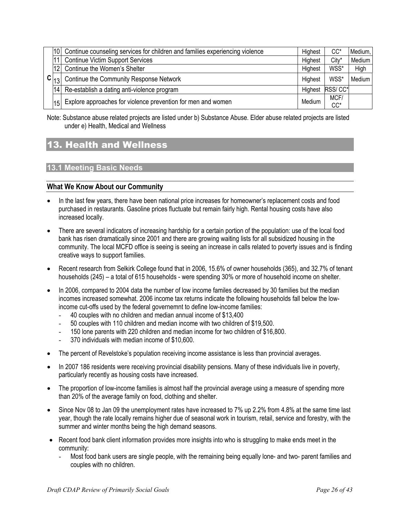|  |                 | 10 Continue counseling services for children and families experiencing violence | Highest | CC*            | Medium, |
|--|-----------------|---------------------------------------------------------------------------------|---------|----------------|---------|
|  |                 | <b>Continue Victim Support Services</b>                                         | Highest | City*          | Medium  |
|  |                 | [12] Continue the Women's Shelter                                               | Highest | WSS*           | High    |
|  |                 | $C _{13} $ Continue the Community Response Network                              | Highest | WSS*           | Medium  |
|  | 14              | Re-establish a dating anti-violence program                                     | Highest | RSS/CC*        |         |
|  | 15 <sup>1</sup> | Explore approaches for violence prevention for men and women                    | Medium  | MCF/<br>$CC^*$ |         |

Note: Substance abuse related projects are listed under b) Substance Abuse. Elder abuse related projects are listed under e) Health, Medical and Wellness

## 13. Health and Wellness

#### **13.1 Meeting Basic Needs**

#### **What We Know About our Community**

- In the last few years, there have been national price increases for homeowner's replacement costs and food purchased in restaurants. Gasoline prices fluctuate but remain fairly high. Rental housing costs have also increased locally.
- There are several indicators of increasing hardship for a certain portion of the population: use of the local food bank has risen dramatically since 2001 and there are growing waiting lists for all subsidized housing in the community. The local MCFD office is seeing is seeing an increase in calls related to poverty issues and is finding creative ways to support families.
- Recent research from Selkirk College found that in 2006, 15.6% of owner households (365), and 32.7% of tenant households (245) – a total of 615 households - were spending 30% or more of household income on shelter.
- In 2006, compared to 2004 data the number of low income familes decreased by 30 families but the median incomes increased somewhat. 2006 income tax returns indicate the following households fall below the lowincome cut-offs used by the federal governemnt to define low-income families:
	- 40 couples with no children and median annual income of \$13,400
	- 50 couples with 110 children and median income with two children of \$19,500.
	- 150 lone parents with 220 children and median income for two children of \$16,800.
	- 370 individuals with median income of \$10,600.
- The percent of Revelstoke's population receiving income assistance is less than provincial averages.
- In 2007 186 residents were receiving provincial disability pensions. Many of these individuals live in poverty, particularly recently as housing costs have increased.
- The proportion of low-income families is almost half the provincial average using a measure of spending more than 20% of the average family on food, clothing and shelter.
- Since Nov 08 to Jan 09 the unemployment rates have increased to 7% up 2.2% from 4.8% at the same time last year, though the rate locally remains higher due of seasonal work in tourism, retail, service and forestry, with the summer and winter months being the high demand seasons.
- Recent food bank client information provides more insights into who is struggling to make ends meet in the community:
	- Most food bank users are single people, with the remaining being equally lone- and two- parent families and couples with no children.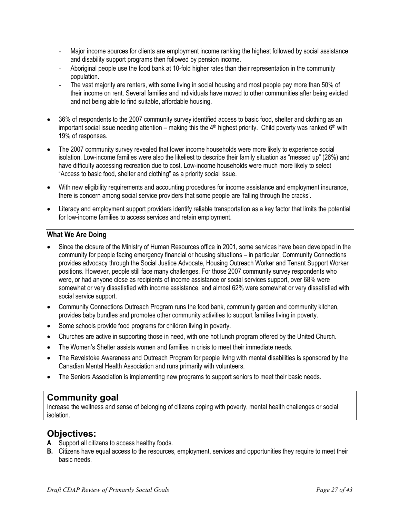- Major income sources for clients are employment income ranking the highest followed by social assistance and disability support programs then followed by pension income.
- Aboriginal people use the food bank at 10-fold higher rates than their representation in the community population.
- The vast majority are renters, with some living in social housing and most people pay more than 50% of their income on rent. Several families and individuals have moved to other communities after being evicted and not being able to find suitable, affordable housing.
- 36% of respondents to the 2007 community survey identified access to basic food, shelter and clothing as an important social issue needing attention – making this the  $4<sup>th</sup>$  highest priority. Child poverty was ranked  $6<sup>th</sup>$  with 19% of responses.
- The 2007 community survey revealed that lower income households were more likely to experience social isolation. Low-income families were also the likeliest to describe their family situation as "messed up" (26%) and have difficulty accessing recreation due to cost. Low-income households were much more likely to select "Access to basic food, shelter and clothing" as a priority social issue.
- With new eligibility requirements and accounting procedures for income assistance and employment insurance, there is concern among social service providers that some people are 'falling through the cracks'.
- Literacy and employment support providers identify reliable transportation as a key factor that limits the potential for low-income families to access services and retain employment.

#### **What We Are Doing**

- Since the closure of the Ministry of Human Resources office in 2001, some services have been developed in the community for people facing emergency financial or housing situations – in particular, Community Connections provides advocacy through the Social Justice Advocate, Housing Outreach Worker and Tenant Support Worker positions. However, people still face many challenges. For those 2007 community survey respondents who were, or had anyone close as recipients of income assistance or social services support, over 68% were somewhat or very dissatisfied with income assistance, and almost 62% were somewhat or very dissatisfied with social service support.
- Community Connections Outreach Program runs the food bank, community garden and community kitchen, provides baby bundles and promotes other community activities to support families living in poverty.
- Some schools provide food programs for children living in poverty.
- Churches are active in supporting those in need, with one hot lunch program offered by the United Church.
- The Women's Shelter assists women and families in crisis to meet their immediate needs.
- The Revelstoke Awareness and Outreach Program for people living with mental disabilities is sponsored by the Canadian Mental Health Association and runs primarily with volunteers.
- The Seniors Association is implementing new programs to support seniors to meet their basic needs.

## **Community goal**

Increase the wellness and sense of belonging of citizens coping with poverty, mental health challenges or social isolation.

- **A**. Support all citizens to access healthy foods.
- **B.** Citizens have equal access to the resources, employment, services and opportunities they require to meet their basic needs.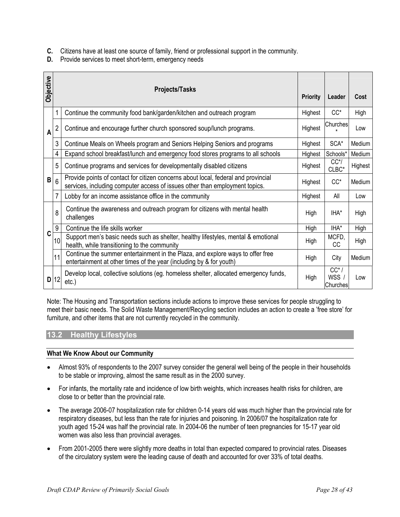- **C.** Citizens have at least one source of family, friend or professional support in the community.
- **D.** Provide services to meet short-term, emergency needs

| Objective    |                | <b>Projects/Tasks</b>                                                                                                                                             | <b>Priority</b> | Leader                                    | Cost    |
|--------------|----------------|-------------------------------------------------------------------------------------------------------------------------------------------------------------------|-----------------|-------------------------------------------|---------|
|              | 1              | Continue the community food bank/garden/kitchen and outreach program                                                                                              | Highest         | $CC^*$                                    | High    |
| A            | $\overline{2}$ | Continue and encourage further church sponsored soup/lunch programs.                                                                                              | Highest         | <b>Churches</b>                           | Low     |
|              | 3              | Continue Meals on Wheels program and Seniors Helping Seniors and programs                                                                                         | Highest         | SCA*                                      | Medium  |
|              | 4              | Expand school breakfast/lunch and emergency food stores programs to all schools                                                                                   | Highest         | Schools*                                  | Medium  |
|              | 5              | Continue programs and services for developmentally disabled citizens                                                                                              | Highest         | $CC^{\ast}/$<br>CLBC*                     | Highest |
| $\, {\bf B}$ | 6              | Provide points of contact for citizen concerns about local, federal and provincial<br>services, including computer access of issues other than employment topics. | Highest         | $CC^*$                                    | Medium  |
|              | $\overline{7}$ | Lobby for an income assistance office in the community                                                                                                            | Highest         | All                                       | Low     |
|              | 8              | Continue the awareness and outreach program for citizens with mental health<br>challenges                                                                         | High            | IHA*                                      | High    |
|              | 9              | Continue the life skills worker                                                                                                                                   | High            | IHA*                                      | High    |
| C            | 10             | Support men's basic needs such as shelter, healthy lifestyles, mental & emotional<br>health, while transitioning to the community                                 | High            | MCFD,<br>CC                               | High    |
|              | 11             | Continue the summer entertainment in the Plaza, and explore ways to offer free<br>entertainment at other times of the year (including by & for youth)             | High            | City                                      | Medium  |
|              | $D$ 12         | Develop local, collective solutions (eg. homeless shelter, allocated emergency funds,<br>etc.)                                                                    | High            | $CC^*$ /<br><b>WSS</b><br><b>Churches</b> | Low     |

Note: The Housing and Transportation sections include actions to improve these services for people struggling to meet their basic needs. The Solid Waste Management/Recycling section includes an action to create a 'free store' for furniture, and other items that are not currently recycled in the community.

#### **13.2 Healthy Lifestyles**

#### **What We Know About our Community**

- Almost 93% of respondents to the 2007 survey consider the general well being of the people in their households to be stable or improving, almost the same result as in the 2000 survey.
- For infants, the mortality rate and incidence of low birth weights, which increases health risks for children, are close to or better than the provincial rate.
- The average 2006-07 hospitalization rate for children 0-14 years old was much higher than the provincial rate for respiratory diseases, but less than the rate for injuries and poisoning. In 2006/07 the hospitalization rate for youth aged 15-24 was half the provincial rate. In 2004-06 the number of teen pregnancies for 15-17 year old women was also less than provincial averages.
- From 2001-2005 there were slightly more deaths in total than expected compared to provincial rates. Diseases of the circulatory system were the leading cause of death and accounted for over 33% of total deaths.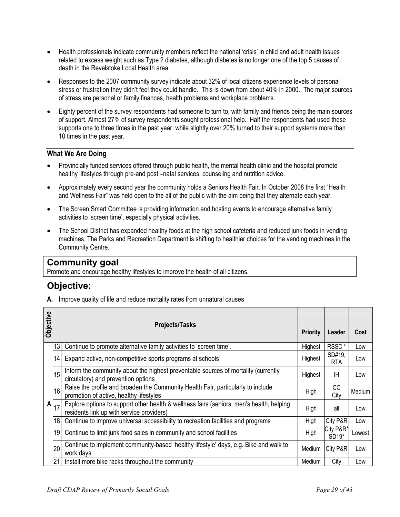- Health professionals indicate community members reflect the national 'crisis' in child and adult health issues related to excess weight such as Type 2 diabetes, although diabetes is no longer one of the top 5 causes of death in the Revelstoke Local Health area.
- Responses to the 2007 community survey indicate about 32% of local citizens experience levels of personal stress or frustration they didn't feel they could handle. This is down from about 40% in 2000. The major sources of stress are personal or family finances, health problems and workplace problems.
- Eighty percent of the survey respondents had someone to turn to, with family and friends being the main sources of support. Almost 27% of survey respondents sought professional help. Half the respondents had used these supports one to three times in the past year, while slightly over 20% turned to their support systems more than 10 times in the past year.

#### **What We Are Doing**

- Provincially funded services offered through public health, the mental health clinic and the hospital promote healthy lifestyles through pre-and post –natal services, counseling and nutrition advice.
- Approximately every second year the community holds a Seniors Health Fair. In October 2008 the first "Health and Wellness Fair" was held open to the all of the public with the aim being that they alternate each year.
- The Screen Smart Committee is providing information and hosting events to encourage alternative family activities to 'screen time', especially physical activities.
- The School District has expanded healthy foods at the high school cafeteria and reduced junk foods in vending machines. The Parks and Recreation Department is shifting to healthier choices for the vending machines in the Community Centre.

## **Community goal**

Promote and encourage healthy lifestyles to improve the health of all citizens.

## **Objective:**

**A.** Improve quality of life and reduce mortality rates from unnatural causes

| <b>Objective</b> |    | <b>Projects/Tasks</b>                                                                                                                 | <b>Priority</b> | Leader               | Cost   |
|------------------|----|---------------------------------------------------------------------------------------------------------------------------------------|-----------------|----------------------|--------|
|                  | 13 | Continue to promote alternative family activities to 'screen time'.                                                                   | Highest         | RSSC*                | Low    |
|                  | 14 | Expand active, non-competitive sports programs at schools                                                                             | Highest         | SD#19,<br><b>RTA</b> | Low    |
|                  | 15 | Inform the community about the highest preventable sources of mortality (currently<br>circulatory) and prevention options             | Highest         | ΙH                   | Low    |
|                  | 16 | Raise the profile and broaden the Community Health Fair, particularly to include<br>promotion of active, healthy lifestyles           | High            | CС<br>City           | Medium |
| A                |    | Explore options to support other health & wellness fairs (seniors, men's health, helping<br>residents link up with service providers) | High            | all                  | Low    |
|                  | 18 | Continue to improve universal accessibility to recreation facilities and programs                                                     | High            | City P&R             | Low    |
|                  | 19 | Continue to limit junk food sales in community and school facilities                                                                  | High            | City P&R*<br>$SD19*$ | Lowest |
|                  | 20 | Continue to implement community-based 'healthy lifestyle' days, e.g. Bike and walk to<br>work days                                    | Medium          | City P&R             | Low    |
|                  | 21 | Install more bike racks throughout the community                                                                                      | Medium          | City                 | Low    |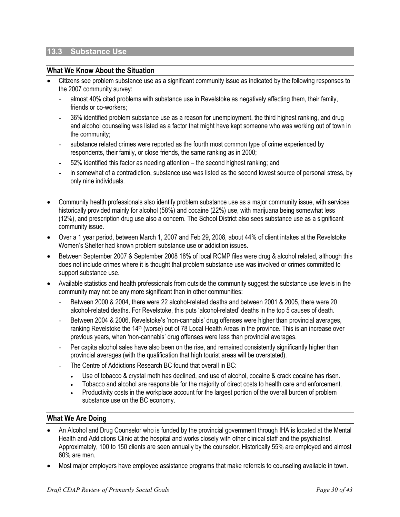#### **13.3 Substance Use**

#### **What We Know About the Situation**

- Citizens see problem substance use as a significant community issue as indicated by the following responses to the 2007 community survey:
	- almost 40% cited problems with substance use in Revelstoke as negatively affecting them, their family, friends or co-workers;
	- 36% identified problem substance use as a reason for unemployment, the third highest ranking, and drug and alcohol counseling was listed as a factor that might have kept someone who was working out of town in the community;
	- substance related crimes were reported as the fourth most common type of crime experienced by respondents, their family, or close friends, the same ranking as in 2000;
	- 52% identified this factor as needing attention the second highest ranking; and
	- in somewhat of a contradiction, substance use was listed as the second lowest source of personal stress, by only nine individuals.
- Community health professionals also identify problem substance use as a major community issue, with services historically provided mainly for alcohol (58%) and cocaine (22%) use, with marijuana being somewhat less (12%), and prescription drug use also a concern. The School District also sees substance use as a significant community issue.
- Over a 1 year period, between March 1, 2007 and Feb 29, 2008, about 44% of client intakes at the Revelstoke Women's Shelter had known problem substance use or addiction issues.
- Between September 2007 & September 2008 18% of local RCMP files were drug & alcohol related, although this does not include crimes where it is thought that problem substance use was involved or crimes committed to support substance use.
- Available statistics and health professionals from outside the community suggest the substance use levels in the community may not be any more significant than in other communities:
	- Between 2000 & 2004, there were 22 alcohol-related deaths and between 2001 & 2005, there were 20 alcohol-related deaths. For Revelstoke, this puts 'alcohol-related' deaths in the top 5 causes of death.
	- Between 2004 & 2006, Revelstoke's 'non-cannabis' drug offenses were higher than provincial averages, ranking Revelstoke the 14<sup>th</sup> (worse) out of 78 Local Health Areas in the province. This is an increase over previous years, when 'non-cannabis' drug offenses were less than provincial averages.
	- Per capita alcohol sales have also been on the rise, and remained consistently significantly higher than provincial averages (with the qualification that high tourist areas will be overstated).
	- The Centre of Addictions Research BC found that overall in BC:
		- Use of tobacco & crystal meth has declined, and use of alcohol, cocaine & crack cocaine has risen.
		- Tobacco and alcohol are responsible for the majority of direct costs to health care and enforcement.
		- Productivity costs in the workplace account for the largest portion of the overall burden of problem substance use on the BC economy.

#### **What We Are Doing**

- An Alcohol and Drug Counselor who is funded by the provincial government through IHA is located at the Mental Health and Addictions Clinic at the hospital and works closely with other clinical staff and the psychiatrist. Approximately, 100 to 150 clients are seen annually by the counselor. Historically 55% are employed and almost 60% are men.
- Most major employers have employee assistance programs that make referrals to counseling available in town.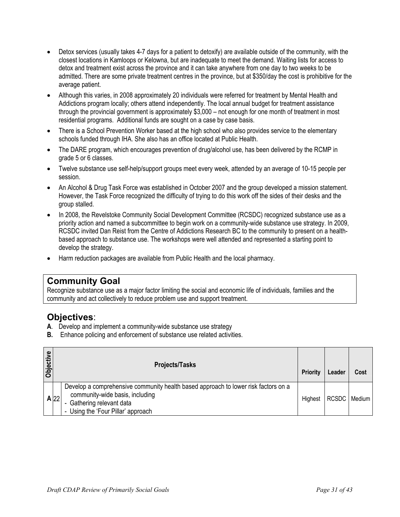- Detox services (usually takes 4-7 days for a patient to detoxify) are available outside of the community, with the closest locations in Kamloops or Kelowna, but are inadequate to meet the demand. Waiting lists for access to detox and treatment exist across the province and it can take anywhere from one day to two weeks to be admitted. There are some private treatment centres in the province, but at \$350/day the cost is prohibitive for the average patient.
- Although this varies, in 2008 approximately 20 individuals were referred for treatment by Mental Health and Addictions program locally; others attend independently. The local annual budget for treatment assistance through the provincial government is approximately \$3,000 – not enough for one month of treatment in most residential programs. Additional funds are sought on a case by case basis.
- There is a School Prevention Worker based at the high school who also provides service to the elementary schools funded through IHA. She also has an office located at Public Health.
- The DARE program, which encourages prevention of drug/alcohol use, has been delivered by the RCMP in grade 5 or 6 classes.
- Twelve substance use self-help/support groups meet every week, attended by an average of 10-15 people per session.
- An Alcohol & Drug Task Force was established in October 2007 and the group developed a mission statement. However, the Task Force recognized the difficulty of trying to do this work off the sides of their desks and the group stalled.
- In 2008, the Revelstoke Community Social Development Committee (RCSDC) recognized substance use as a priority action and named a subcommittee to begin work on a community-wide substance use strategy. In 2009, RCSDC invited Dan Reist from the Centre of Addictions Research BC to the community to present on a healthbased approach to substance use. The workshops were well attended and represented a starting point to develop the strategy.
- Harm reduction packages are available from Public Health and the local pharmacy.

## **Community Goal**

Recognize substance use as a major factor limiting the social and economic life of individuals, families and the community and act collectively to reduce problem use and support treatment.

- **A**. Develop and implement a community-wide substance use strategy
- **B.** Enhance policing and enforcement of substance use related activities.

| <b>Objective</b> | <b>Projects/Tasks</b>                                                                                                                                                                             | <b>Priority</b> | Leader         | Cost |
|------------------|---------------------------------------------------------------------------------------------------------------------------------------------------------------------------------------------------|-----------------|----------------|------|
|                  | Develop a comprehensive community health based approach to lower risk factors on a<br>community-wide basis, including<br>A 22 <br>- Gathering relevant data<br>- Using the 'Four Pillar' approach | Highest         | RCSDC   Medium |      |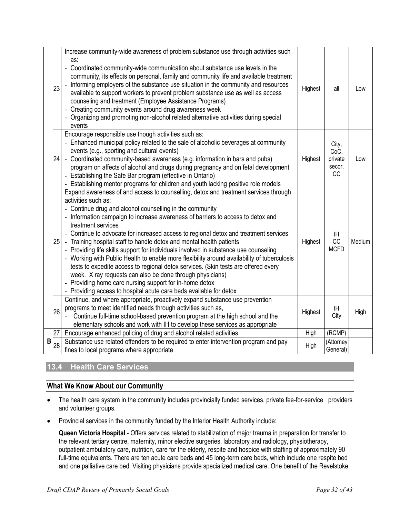|   | 23 | Increase community-wide awareness of problem substance use through activities such<br>as:<br>- Coordinated community-wide communication about substance use levels in the<br>community, its effects on personal, family and community life and available treatment<br>- Informing employers of the substance use situation in the community and resources<br>available to support workers to prevent problem substance use as well as access<br>counseling and treatment (Employee Assistance Programs)<br>- Creating community events around drug awareness week<br>- Organizing and promoting non-alcohol related alternative activities during special<br>events                                                                                                                                                                                                                                                        | Highest | all                                      | Low    |
|---|----|----------------------------------------------------------------------------------------------------------------------------------------------------------------------------------------------------------------------------------------------------------------------------------------------------------------------------------------------------------------------------------------------------------------------------------------------------------------------------------------------------------------------------------------------------------------------------------------------------------------------------------------------------------------------------------------------------------------------------------------------------------------------------------------------------------------------------------------------------------------------------------------------------------------------------|---------|------------------------------------------|--------|
|   | 24 | Encourage responsible use though activities such as:<br>- Enhanced municipal policy related to the sale of alcoholic beverages at community<br>events (e.g., sporting and cultural events)<br>- Coordinated community-based awareness (e.g. information in bars and pubs)<br>program on affects of alcohol and drugs during pregnancy and on fetal development<br>- Establishing the Safe Bar program (effective in Ontario)<br>- Establishing mentor programs for children and youth lacking positive role models                                                                                                                                                                                                                                                                                                                                                                                                         | Highest | City,<br>CoC,<br>private<br>secor,<br>CC | Low    |
|   | 25 | Expand awareness of and access to counselling, detox and treatment services through<br>activities such as:<br>- Continue drug and alcohol counselling in the community<br>- Information campaign to increase awareness of barriers to access to detox and<br>treatment services<br>- Continue to advocate for increased access to regional detox and treatment services<br>- Training hospital staff to handle detox and mental health patients<br>- Providing life skills support for individuals involved in substance use counseling<br>- Working with Public Health to enable more flexibility around availability of tuberculosis<br>tests to expedite access to regional detox services. (Skin tests are offered every<br>week. X ray requests can also be done through physicians)<br>- Providing home care nursing support for in-home detox<br>- Providing access to hospital acute care beds available for detox | Highest | IH.<br>CC<br><b>MCFD</b>                 | Medium |
|   | 26 | Continue, and where appropriate, proactively expand substance use prevention<br>programs to meet identified needs through activities such as,<br>Continue full-time school-based prevention program at the high school and the<br>elementary schools and work with IH to develop these services as appropriate                                                                                                                                                                                                                                                                                                                                                                                                                                                                                                                                                                                                             | Highest | H<br>City                                | High   |
|   | 27 | Encourage enhanced policing of drug and alcohol related activities                                                                                                                                                                                                                                                                                                                                                                                                                                                                                                                                                                                                                                                                                                                                                                                                                                                         | High    | (RCMP)                                   |        |
| B | 28 | Substance use related offenders to be required to enter intervention program and pay<br>fines to local programs where appropriate                                                                                                                                                                                                                                                                                                                                                                                                                                                                                                                                                                                                                                                                                                                                                                                          | High    | (Attorney<br>General)                    |        |

#### **13.4 Health Care Services**

#### **What We Know About our Community**

- The health care system in the community includes provincially funded services, private fee-for-service providers and volunteer groups.
- Provincial services in the community funded by the Interior Health Authority include:

**Queen Victoria Hospital** - Offers services related to stabilization of major trauma in preparation for transfer to the relevant tertiary centre, maternity, minor elective surgeries, laboratory and radiology, physiotherapy, outpatient ambulatory care, nutrition, care for the elderly, respite and hospice with staffing of approximately 90 full-time equivalents. There are ten acute care beds and 45 long-term care beds, which include one respite bed and one palliative care bed. Visiting physicians provide specialized medical care. One benefit of the Revelstoke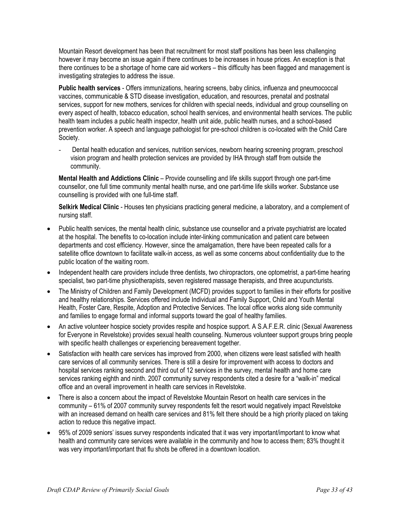Mountain Resort development has been that recruitment for most staff positions has been less challenging however it may become an issue again if there continues to be increases in house prices. An exception is that there continues to be a shortage of home care aid workers – this difficulty has been flagged and management is investigating strategies to address the issue.

**Public health services** - Offers immunizations, hearing screens, baby clinics, influenza and pneumococcal vaccines, communicable & STD disease investigation, education, and resources, prenatal and postnatal services, support for new mothers, services for children with special needs, individual and group counselling on every aspect of health, tobacco education, school health services, and environmental health services. The public health team includes a public health inspector, health unit aide, public health nurses, and a school-based prevention worker. A speech and language pathologist for pre-school children is co-located with the Child Care Society.

Dental health education and services, nutrition services, newborn hearing screening program, preschool vision program and health protection services are provided by IHA through staff from outside the community.

**Mental Health and Addictions Clinic** – Provide counselling and life skills support through one part-time counsellor, one full time community mental health nurse, and one part-time life skills worker. Substance use counselling is provided with one full-time staff.

**Selkirk Medical Clinic** - Houses ten physicians practicing general medicine, a laboratory, and a complement of nursing staff.

- Public health services, the mental health clinic, substance use counsellor and a private psychiatrist are located at the hospital. The benefits to co-location include inter-linking communication and patient care between departments and cost efficiency. However, since the amalgamation, there have been repeated calls for a satellite office downtown to facilitate walk-in access, as well as some concerns about confidentiality due to the public location of the waiting room.
- Independent health care providers include three dentists, two chiropractors, one optometrist, a part-time hearing specialist, two part-time physiotherapists, seven registered massage therapists, and three acupuncturists.
- The Ministry of Children and Family Development (MCFD) provides support to families in their efforts for positive and healthy relationships. Services offered include Individual and Family Support, Child and Youth Mental Health, Foster Care, Respite, Adoption and Protective Services. The local office works along side community and families to engage formal and informal supports toward the goal of healthy families.
- An active volunteer hospice society provides respite and hospice support. A S.A.F.E.R. clinic (Sexual Awareness for Everyone in Revelstoke) provides sexual health counseling. Numerous volunteer support groups bring people with specific health challenges or experiencing bereavement together.
- Satisfaction with health care services has improved from 2000, when citizens were least satisfied with health care services of all community services. There is still a desire for improvement with access to doctors and hospital services ranking second and third out of 12 services in the survey, mental health and home care services ranking eighth and ninth. 2007 community survey respondents cited a desire for a "walk-in" medical office and an overall improvement in health care services in Revelstoke.
- There is also a concern about the impact of Revelstoke Mountain Resort on health care services in the community – 61% of 2007 community survey respondents felt the resort would negatively impact Revelstoke with an increased demand on health care services and 81% felt there should be a high priority placed on taking action to reduce this negative impact.
- 95% of 2009 seniors' issues survey respondents indicated that it was very important/important to know what health and community care services were available in the community and how to access them; 83% thought it was very important/important that flu shots be offered in a downtown location.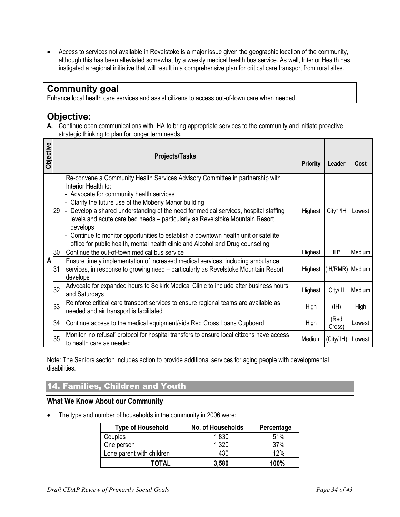• Access to services not available in Revelstoke is a major issue given the geographic location of the community, although this has been alleviated somewhat by a weekly medical health bus service. As well, Interior Health has instigated a regional initiative that will result in a comprehensive plan for critical care transport from rural sites.

## **Community goal**

Enhance local health care services and assist citizens to access out-of-town care when needed.

## **Objective:**

**A.** Continue open communications with IHA to bring appropriate services to the community and initiate proactive strategic thinking to plan for longer term needs.

| Objective |    | <b>Projects/Tasks</b>                                                                                                                                                                                                                                                                                                                                                                                                                                                                                                                                                    | <b>Priority</b> | Leader          | Cost   |
|-----------|----|--------------------------------------------------------------------------------------------------------------------------------------------------------------------------------------------------------------------------------------------------------------------------------------------------------------------------------------------------------------------------------------------------------------------------------------------------------------------------------------------------------------------------------------------------------------------------|-----------------|-----------------|--------|
|           | 29 | Re-convene a Community Health Services Advisory Committee in partnership with<br>Interior Health to:<br>- Advocate for community health services<br>- Clarify the future use of the Moberly Manor building<br>- Develop a shared understanding of the need for medical services, hospital staffing<br>levels and acute care bed needs - particularly as Revelstoke Mountain Resort<br>develops<br>- Continue to monitor opportunities to establish a downtown health unit or satellite<br>office for public health, mental health clinic and Alcohol and Drug counseling | Highest         | $City* / IH$    | Lowest |
|           | 30 | Continue the out-of-town medical bus service                                                                                                                                                                                                                                                                                                                                                                                                                                                                                                                             | Highest         | IH*             | Medium |
| A         | 31 | Ensure timely implementation of increased medical services, including ambulance<br>services, in response to growing need – particularly as Revelstoke Mountain Resort<br>develops                                                                                                                                                                                                                                                                                                                                                                                        | Highest         | (IH/RMR) Medium |        |
|           | 32 | Advocate for expanded hours to Selkirk Medical Clinic to include after business hours<br>and Saturdays                                                                                                                                                                                                                                                                                                                                                                                                                                                                   | Highest         | City/IH         | Medium |
|           | 33 | Reinforce critical care transport services to ensure regional teams are available as<br>needed and air transport is facilitated                                                                                                                                                                                                                                                                                                                                                                                                                                          | High            | (HH)            | High   |
|           | 34 | Continue access to the medical equipment/aids Red Cross Loans Cupboard                                                                                                                                                                                                                                                                                                                                                                                                                                                                                                   | High            | (Red<br>Cross)  | Lowest |
|           | 35 | Monitor 'no refusal' protocol for hospital transfers to ensure local citizens have access<br>to health care as needed                                                                                                                                                                                                                                                                                                                                                                                                                                                    | Medium          | (City/ IH)      | Lowest |

Note: The Seniors section includes action to provide additional services for aging people with developmental disabilities.

## 14. Families, Children and Youth

#### **What We Know About our Community**

• The type and number of households in the community in 2006 were:

| <b>Type of Household</b>  | No. of Households | Percentage  |
|---------------------------|-------------------|-------------|
| Couples                   | 1,830             | 51%         |
| One person                | 1,320             | 37%         |
| Lone parent with children | 430               | 12%         |
| TOTAL                     | 3,580             | <b>100%</b> |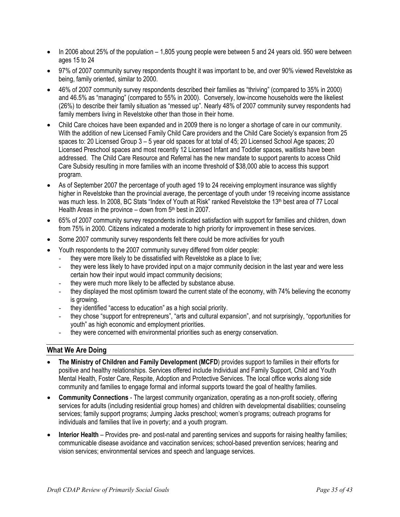- In 2006 about 25% of the population 1,805 young people were between 5 and 24 years old. 950 were between ages 15 to 24
- 97% of 2007 community survey respondents thought it was important to be, and over 90% viewed Revelstoke as being, family oriented, similar to 2000.
- 46% of 2007 community survey respondents described their families as "thriving" (compared to 35% in 2000) and 46.5% as "managing" (compared to 55% in 2000). Conversely, low-income households were the likeliest (26%) to describe their family situation as "messed up". Nearly 48% of 2007 community survey respondents had family members living in Revelstoke other than those in their home.
- Child Care choices have been expanded and in 2009 there is no longer a shortage of care in our community. With the addition of new Licensed Family Child Care providers and the Child Care Society's expansion from 25 spaces to: 20 Licensed Group 3 – 5 year old spaces for at total of 45; 20 Licensed School Age spaces; 20 Licensed Preschool spaces and most recently 12 Licensed Infant and Toddler spaces, waitlists have been addressed. The Child Care Resource and Referral has the new mandate to support parents to access Child Care Subsidy resulting in more families with an income threshold of \$38,000 able to access this support program.
- As of September 2007 the percentage of youth aged 19 to 24 receiving employment insurance was slightly higher in Revelstoke than the provincial average, the percentage of youth under 19 receiving income assistance was much less. In 2008, BC Stats "Index of Youth at Risk" ranked Revelstoke the 13th best area of 77 Local Health Areas in the province  $-$  down from  $5<sup>th</sup>$  best in 2007.
- 65% of 2007 community survey respondents indicated satisfaction with support for families and children, down from 75% in 2000. Citizens indicated a moderate to high priority for improvement in these services.
- Some 2007 community survey respondents felt there could be more activities for youth
- Youth respondents to the 2007 community survey differed from older people:
	- they were more likely to be dissatisfied with Revelstoke as a place to live;
	- they were less likely to have provided input on a major community decision in the last year and were less certain how their input would impact community decisions;
	- they were much more likely to be affected by substance abuse.
	- they displayed the most optimism toward the current state of the economy, with 74% believing the economy is growing.
	- they identified "access to education" as a high social priority.
	- they chose "support for entrepreneurs", "arts and cultural expansion", and not surprisingly, "opportunities for youth" as high economic and employment priorities.
	- they were concerned with environmental priorities such as energy conservation.

#### **What We Are Doing**

- **The Ministry of Children and Family Development (MCFD**) provides support to families in their efforts for positive and healthy relationships. Services offered include Individual and Family Support, Child and Youth Mental Health, Foster Care, Respite, Adoption and Protective Services. The local office works along side community and families to engage formal and informal supports toward the goal of healthy families.
- **Community Connections** The largest community organization, operating as a non-profit society, offering services for adults (including residential group homes) and children with developmental disabilities; counseling services; family support programs; Jumping Jacks preschool; women's programs; outreach programs for individuals and families that live in poverty; and a youth program.
- **Interior Health** Provides pre- and post-natal and parenting services and supports for raising healthy families; communicable disease avoidance and vaccination services; school-based prevention services; hearing and vision services; environmental services and speech and language services.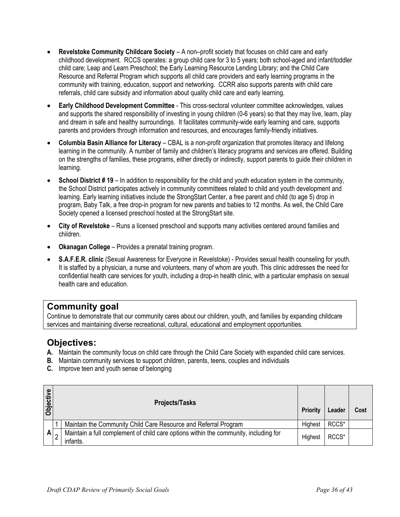- **Revelstoke Community Childcare Society** A non–profit society that focuses on child care and early childhood development. RCCS operates: a group child care for 3 to 5 years; both school-aged and infant/toddler child care; Leap and Learn Preschool; the Early Learning Resource Lending Library; and the Child Care Resource and Referral Program which supports all child care providers and early learning programs in the community with training, education, support and networking. CCRR also supports parents with child care referrals, child care subsidy and information about quality child care and early learning.
- **Early Childhood Development Committee** This cross-sectoral volunteer committee acknowledges, values and supports the shared responsibility of investing in young children (0-6 years) so that they may live, learn, play and dream in safe and healthy surroundings. It facilitates community-wide early learning and care, supports parents and providers through information and resources, and encourages family-friendly initiatives.
- **Columbia Basin Alliance for Literacy** CBAL is a non-profit organization that promotes literacy and lifelong learning in the community. A number of family and children's literacy programs and services are offered. Building on the strengths of families, these programs, either directly or indirectly, support parents to guide their children in learning.
- **School District # 19** In addition to responsibility for the child and youth education system in the community, the School District participates actively in community committees related to child and youth development and learning. Early learning initiatives include the StrongStart Center, a free parent and child (to age 5) drop in program, Baby Talk, a free drop-in program for new parents and babies to 12 months. As well, the Child Care Society opened a licensed preschool hosted at the StrongStart site.
- **City of Revelstoke** Runs a licensed preschool and supports many activities centered around families and children.
- **Okanagan College** Provides a prenatal training program.
- **S.A.F.E.R. clinic** (Sexual Awareness for Everyone in Revelstoke) Provides sexual health counseling for youth. It is staffed by a physician, a nurse and volunteers, many of whom are youth. This clinic addresses the need for confidential health care services for youth, including a drop-in health clinic, with a particular emphasis on sexual health care and education.

## **Community goal**

Continue to demonstrate that our community cares about our children, youth, and families by expanding childcare services and maintaining diverse recreational, cultural, educational and employment opportunities.

- **A.** Maintain the community focus on child care through the Child Care Society with expanded child care services.
- **B.** Maintain community services to support children, parents, teens, couples and individuals
- **C.** Improve teen and youth sense of belonging

| <b>Objective</b> | <b>Projects/Tasks</b>                                                                            | <b>Priority</b> | Leader | Cost |
|------------------|--------------------------------------------------------------------------------------------------|-----------------|--------|------|
| A                | Maintain the Community Child Care Resource and Referral Program                                  | Highest         | RCCS*  |      |
|                  | Maintain a full complement of child care options within the community, including for<br>infants. | Highest         | RCCS*  |      |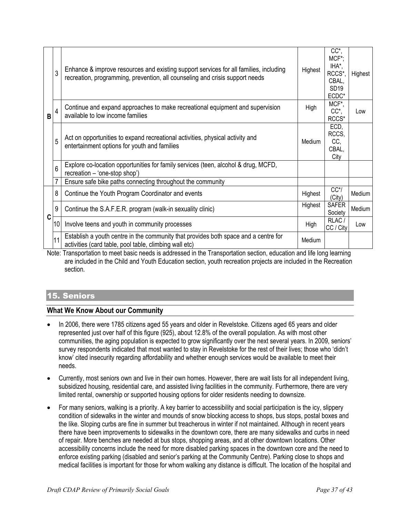| B | 3  | Enhance & improve resources and existing support services for all families, including<br>recreation, programming, prevention, all counseling and crisis support needs                                                                                                                                                                                                                                                                                                                              | Highest                | CC*,<br>MCF*;<br>IHA*,<br>RCCS*,<br>CBAL,<br>SD <sub>19</sub><br>ECDC* | Highest |
|---|----|----------------------------------------------------------------------------------------------------------------------------------------------------------------------------------------------------------------------------------------------------------------------------------------------------------------------------------------------------------------------------------------------------------------------------------------------------------------------------------------------------|------------------------|------------------------------------------------------------------------|---------|
|   | 4  | Continue and expand approaches to make recreational equipment and supervision<br>available to low income families                                                                                                                                                                                                                                                                                                                                                                                  | High                   | MCF*,<br>CC*,<br>RCCS*                                                 | Low     |
|   | 5  | Act on opportunities to expand recreational activities, physical activity and<br>entertainment options for youth and families                                                                                                                                                                                                                                                                                                                                                                      | Medium                 | ECD,<br>RCCS,<br>CC,<br>CBAL,<br>City                                  |         |
|   | 6  | Explore co-location opportunities for family services (teen, alcohol & drug, MCFD,<br>recreation - 'one-stop shop')                                                                                                                                                                                                                                                                                                                                                                                |                        |                                                                        |         |
|   |    | Ensure safe bike paths connecting throughout the community                                                                                                                                                                                                                                                                                                                                                                                                                                         |                        |                                                                        |         |
|   | 8  | Continue the Youth Program Coordinator and events                                                                                                                                                                                                                                                                                                                                                                                                                                                  | Highest                | $CC^{\ast}/$<br>(City)                                                 | Medium  |
| C | 9  | Continue the S.A.F.E.R. program (walk-in sexuality clinic)                                                                                                                                                                                                                                                                                                                                                                                                                                         | Highest                | <b>SAFER</b><br>Society                                                | Medium  |
|   | 10 | Involve teens and youth in community processes                                                                                                                                                                                                                                                                                                                                                                                                                                                     | High                   | RLAC/<br>CC / City                                                     | Low     |
|   | 11 | Establish a youth centre in the community that provides both space and a centre for<br>activities (card table, pool table, climbing wall etc)<br>the contract of the contract of the contract of the contract of the contract of the contract of the contract of<br>and the contract of the contract of the contract of the contract of the contract of the contract of the contract of the contract of the contract of the contract of the contract of the contract of the contract of the contra | Medium<br>$\mathbf{r}$ |                                                                        |         |

Note: Transportation to meet basic needs is addressed in the Transportation section, education and life long learning are included in the Child and Youth Education section, youth recreation projects are included in the Recreation section.

#### 15. Seniors

#### **What We Know About our Community**

- In 2006, there were 1785 citizens aged 55 years and older in Revelstoke. Citizens aged 65 years and older represented just over half of this figure (925), about 12.8% of the overall population. As with most other communities, the aging population is expected to grow significantly over the next several years. In 2009, seniors' survey respondents indicated that most wanted to stay in Revelstoke for the rest of their lives; those who 'didn't know' cited insecurity regarding affordability and whether enough services would be available to meet their needs.
- Currently, most seniors own and live in their own homes. However, there are wait lists for all independent living, subsidized housing, residential care, and assisted living facilities in the community. Furthermore, there are very limited rental, ownership or supported housing options for older residents needing to downsize.
- For many seniors, walking is a priority. A key barrier to accessibility and social participation is the icy, slippery condition of sidewalks in the winter and mounds of snow blocking access to shops, bus stops, postal boxes and the like. Sloping curbs are fine in summer but treacherous in winter if not maintained. Although in recent years there have been improvements to sidewalks in the downtown core, there are many sidewalks and curbs in need of repair. More benches are needed at bus stops, shopping areas, and at other downtown locations. Other accessibility concerns include the need for more disabled parking spaces in the downtown core and the need to enforce existing parking (disabled and senior's parking at the Community Centre). Parking close to shops and medical facilities is important for those for whom walking any distance is difficult. The location of the hospital and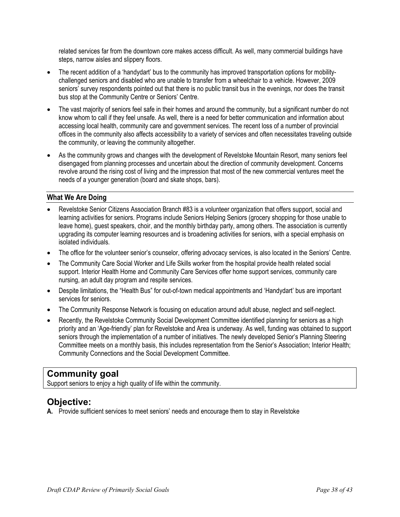related services far from the downtown core makes access difficult. As well, many commercial buildings have steps, narrow aisles and slippery floors.

- The recent addition of a 'handydart' bus to the community has improved transportation options for mobilitychallenged seniors and disabled who are unable to transfer from a wheelchair to a vehicle. However, 2009 seniors' survey respondents pointed out that there is no public transit bus in the evenings, nor does the transit bus stop at the Community Centre or Seniors' Centre.
- The vast majority of seniors feel safe in their homes and around the community, but a significant number do not know whom to call if they feel unsafe. As well, there is a need for better communication and information about accessing local health, community care and government services. The recent loss of a number of provincial offices in the community also affects accessibility to a variety of services and often necessitates traveling outside the community, or leaving the community altogether.
- As the community grows and changes with the development of Revelstoke Mountain Resort, many seniors feel disengaged from planning processes and uncertain about the direction of community development. Concerns revolve around the rising cost of living and the impression that most of the new commercial ventures meet the needs of a younger generation (board and skate shops, bars).

#### **What We Are Doing**

- Revelstoke Senior Citizens Association Branch #83 is a volunteer organization that offers support, social and learning activities for seniors. Programs include Seniors Helping Seniors (grocery shopping for those unable to leave home), guest speakers, choir, and the monthly birthday party, among others. The association is currently upgrading its computer learning resources and is broadening activities for seniors, with a special emphasis on isolated individuals.
- The office for the volunteer senior's counselor, offering advocacy services, is also located in the Seniors' Centre.
- The Community Care Social Worker and Life Skills worker from the hospital provide health related social support. Interior Health Home and Community Care Services offer home support services, community care nursing, an adult day program and respite services.
- Despite limitations, the "Health Bus" for out-of-town medical appointments and 'Handydart' bus are important services for seniors.
- The Community Response Network is focusing on education around adult abuse, neglect and self-neglect.
- Recently, the Revelstoke Community Social Development Committee identified planning for seniors as a high priority and an 'Age-friendly' plan for Revelstoke and Area is underway. As well, funding was obtained to support seniors through the implementation of a number of initiatives. The newly developed Senior's Planning Steering Committee meets on a monthly basis, this includes representation from the Senior's Association; Interior Health; Community Connections and the Social Development Committee.

## **Community goal**

Support seniors to enjoy a high quality of life within the community.

## **Objective:**

**A.** Provide sufficient services to meet seniors' needs and encourage them to stay in Revelstoke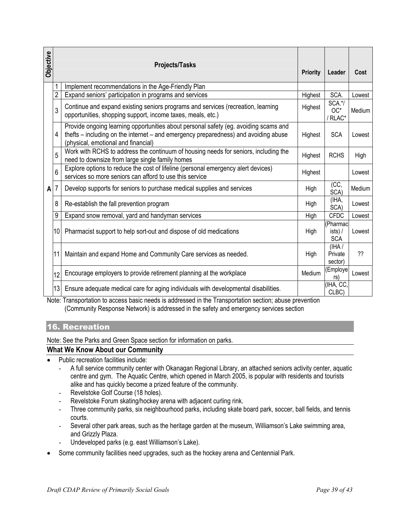| Objective |                                                                                                                                                                                                                                                                                                                                                                                                                                                                                                                                                                                                                                                                                                                                                                                                                                                                                  | <b>Projects/Tasks</b>                                                                                                                                                                                              | <b>Priority</b> | Leader                            | Cost   |  |
|-----------|----------------------------------------------------------------------------------------------------------------------------------------------------------------------------------------------------------------------------------------------------------------------------------------------------------------------------------------------------------------------------------------------------------------------------------------------------------------------------------------------------------------------------------------------------------------------------------------------------------------------------------------------------------------------------------------------------------------------------------------------------------------------------------------------------------------------------------------------------------------------------------|--------------------------------------------------------------------------------------------------------------------------------------------------------------------------------------------------------------------|-----------------|-----------------------------------|--------|--|
|           |                                                                                                                                                                                                                                                                                                                                                                                                                                                                                                                                                                                                                                                                                                                                                                                                                                                                                  | Implement recommendations in the Age-Friendly Plan                                                                                                                                                                 |                 |                                   |        |  |
|           | $\overline{2}$                                                                                                                                                                                                                                                                                                                                                                                                                                                                                                                                                                                                                                                                                                                                                                                                                                                                   | Expand seniors' participation in programs and services                                                                                                                                                             | Highest         | SCA.                              | Lowest |  |
|           | 3                                                                                                                                                                                                                                                                                                                                                                                                                                                                                                                                                                                                                                                                                                                                                                                                                                                                                | Continue and expand existing seniors programs and services (recreation, learning<br>opportunities, shopping support, income taxes, meals, etc.)                                                                    | Highest         | SCA.*/<br>$OC^*$<br>/ RLAC*       | Medium |  |
|           | 4                                                                                                                                                                                                                                                                                                                                                                                                                                                                                                                                                                                                                                                                                                                                                                                                                                                                                | Provide ongoing learning opportunities about personal safety (eg. avoiding scams and<br>thefts – including on the internet – and emergency preparedness) and avoiding abuse<br>(physical, emotional and financial) | Highest         | <b>SCA</b>                        | Lowest |  |
|           | 5                                                                                                                                                                                                                                                                                                                                                                                                                                                                                                                                                                                                                                                                                                                                                                                                                                                                                | Work with RCHS to address the continuum of housing needs for seniors, including the<br>need to downsize from large single family homes                                                                             | Highest         | <b>RCHS</b>                       | High   |  |
|           | 6                                                                                                                                                                                                                                                                                                                                                                                                                                                                                                                                                                                                                                                                                                                                                                                                                                                                                | Explore options to reduce the cost of lifeline (personal emergency alert devices)<br>services so more seniors can afford to use this service                                                                       | Highest         |                                   | Lowest |  |
| A         | 7                                                                                                                                                                                                                                                                                                                                                                                                                                                                                                                                                                                                                                                                                                                                                                                                                                                                                | Develop supports for seniors to purchase medical supplies and services                                                                                                                                             | High            | (CC,<br>SCA)                      | Medium |  |
|           | 8                                                                                                                                                                                                                                                                                                                                                                                                                                                                                                                                                                                                                                                                                                                                                                                                                                                                                | Re-establish the fall prevention program                                                                                                                                                                           | High            | (IHA,<br>SCA)                     | Lowest |  |
|           | 9                                                                                                                                                                                                                                                                                                                                                                                                                                                                                                                                                                                                                                                                                                                                                                                                                                                                                | Expand snow removal, yard and handyman services                                                                                                                                                                    | High            | <b>CFDC</b>                       | Lowest |  |
|           | 10 <sup>°</sup>                                                                                                                                                                                                                                                                                                                                                                                                                                                                                                                                                                                                                                                                                                                                                                                                                                                                  | Pharmacist support to help sort-out and dispose of old medications                                                                                                                                                 | High            | (Pharmac<br>ists) /<br><b>SCA</b> | Lowest |  |
|           | 11                                                                                                                                                                                                                                                                                                                                                                                                                                                                                                                                                                                                                                                                                                                                                                                                                                                                               | Maintain and expand Home and Community Care services as needed.                                                                                                                                                    | High            | (HHA)<br>Private<br>sector)       | ??     |  |
|           | 12                                                                                                                                                                                                                                                                                                                                                                                                                                                                                                                                                                                                                                                                                                                                                                                                                                                                               | Encourage employers to provide retirement planning at the workplace                                                                                                                                                | Medium          | Employe <sup>®</sup><br>rs)       | Lowest |  |
|           | 13                                                                                                                                                                                                                                                                                                                                                                                                                                                                                                                                                                                                                                                                                                                                                                                                                                                                               | Ensure adequate medical care for aging individuals with developmental disabilities.                                                                                                                                |                 | (IHA, CC,<br>CLBC)                |        |  |
|           | Note: Transportation to access basic needs is addressed in the Transportation section; abuse prevention<br>(Community Response Network) is addressed in the safety and emergency services section                                                                                                                                                                                                                                                                                                                                                                                                                                                                                                                                                                                                                                                                                |                                                                                                                                                                                                                    |                 |                                   |        |  |
|           |                                                                                                                                                                                                                                                                                                                                                                                                                                                                                                                                                                                                                                                                                                                                                                                                                                                                                  | <b>16. Recreation</b>                                                                                                                                                                                              |                 |                                   |        |  |
|           |                                                                                                                                                                                                                                                                                                                                                                                                                                                                                                                                                                                                                                                                                                                                                                                                                                                                                  | Note: See the Parks and Green Space section for information on parks.                                                                                                                                              |                 |                                   |        |  |
|           |                                                                                                                                                                                                                                                                                                                                                                                                                                                                                                                                                                                                                                                                                                                                                                                                                                                                                  | <b>What We Know About our Community</b>                                                                                                                                                                            |                 |                                   |        |  |
|           | Public recreation facilities include:<br>A full service community center with Okanagan Regional Library, an attached seniors activity center, aquatic<br>centre and gym. The Aquatic Centre, which opened in March 2005, is popular with residents and tourists<br>alike and has quickly become a prized feature of the community.<br>Revelstoke Golf Course (18 holes).<br>Revelstoke Forum skating/hockey arena with adjacent curling rink.<br>$\overline{\phantom{a}}$<br>Three community parks, six neighbourhood parks, including skate board park, soccer, ball fields, and tennis<br>courts.<br>Several other park areas, such as the heritage garden at the museum, Williamson's Lake swimming area,<br>and Grizzly Plaza.<br>Undeveloped parks (e.g. east Williamson's Lake).<br>Some community facilities need upgrades, such as the hockey arena and Centennial Park. |                                                                                                                                                                                                                    |                 |                                   |        |  |
|           | Draft CDAP Review of Primarily Social Goals<br>Page 39 of 43                                                                                                                                                                                                                                                                                                                                                                                                                                                                                                                                                                                                                                                                                                                                                                                                                     |                                                                                                                                                                                                                    |                 |                                   |        |  |

#### 16. Recreation

#### **What We Know About our Community**

- Public recreation facilities include:
	- A full service community center with Okanagan Regional Library, an attached seniors activity center, aquatic centre and gym. The Aquatic Centre, which opened in March 2005, is popular with residents and tourists alike and has quickly become a prized feature of the community.
	- Revelstoke Golf Course (18 holes).
	- Revelstoke Forum skating/hockey arena with adjacent curling rink.
	- Three community parks, six neighbourhood parks, including skate board park, soccer, ball fields, and tennis courts.
	- Several other park areas, such as the heritage garden at the museum, Williamson's Lake swimming area, and Grizzly Plaza.
	- Undeveloped parks (e.g. east Williamson's Lake).
- Some community facilities need upgrades, such as the hockey arena and Centennial Park.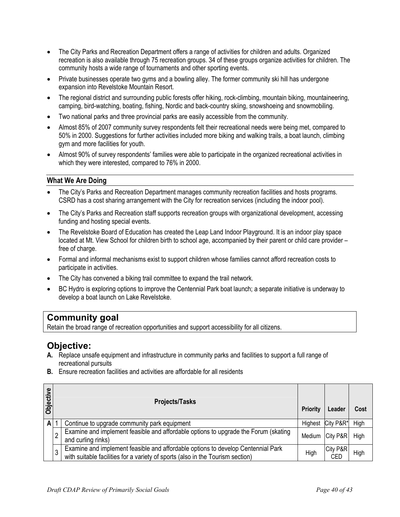- The City Parks and Recreation Department offers a range of activities for children and adults. Organized recreation is also available through 75 recreation groups. 34 of these groups organize activities for children. The community hosts a wide range of tournaments and other sporting events.
- Private businesses operate two gyms and a bowling alley. The former community ski hill has undergone expansion into Revelstoke Mountain Resort.
- The regional district and surrounding public forests offer hiking, rock-climbing, mountain biking, mountaineering, camping, bird-watching, boating, fishing, Nordic and back-country skiing, snowshoeing and snowmobiling.
- Two national parks and three provincial parks are easily accessible from the community.
- Almost 85% of 2007 community survey respondents felt their recreational needs were being met, compared to 50% in 2000. Suggestions for further activities included more biking and walking trails, a boat launch, climbing gym and more facilities for youth.
- Almost 90% of survey respondents' families were able to participate in the organized recreational activities in which they were interested, compared to 76% in 2000.

#### **What We Are Doing**

- The City's Parks and Recreation Department manages community recreation facilities and hosts programs. CSRD has a cost sharing arrangement with the City for recreation services (including the indoor pool).
- The City's Parks and Recreation staff supports recreation groups with organizational development, accessing funding and hosting special events.
- The Revelstoke Board of Education has created the Leap Land Indoor Playground. It is an indoor play space located at Mt. View School for children birth to school age, accompanied by their parent or child care provider – free of charge.
- Formal and informal mechanisms exist to support children whose families cannot afford recreation costs to participate in activities.
- The City has convened a biking trail committee to expand the trail network.
- BC Hydro is exploring options to improve the Centennial Park boat launch; a separate initiative is underway to develop a boat launch on Lake Revelstoke.

## **Community goal**

Retain the broad range of recreation opportunities and support accessibility for all citizens.

- **A.** Replace unsafe equipment and infrastructure in community parks and facilities to support a full range of recreational pursuits
- **B.** Ensure recreation facilities and activities are affordable for all residents

| <b>Objective</b> |                | <b>Projects/Tasks</b>                                                                                                                                              | Priority | Leader          | Cost |
|------------------|----------------|--------------------------------------------------------------------------------------------------------------------------------------------------------------------|----------|-----------------|------|
| $\mathsf{A}$     |                | Continue to upgrade community park equipment                                                                                                                       | Highest  | City P&R*       | High |
|                  | $\overline{2}$ | Examine and implement feasible and affordable options to upgrade the Forum (skating<br>and curling rinks)                                                          | Medium   | City P&R        | High |
|                  | 3              | Examine and implement feasible and affordable options to develop Centennial Park<br>with suitable facilities for a variety of sports (also in the Tourism section) | High     | City P&R<br>CED | High |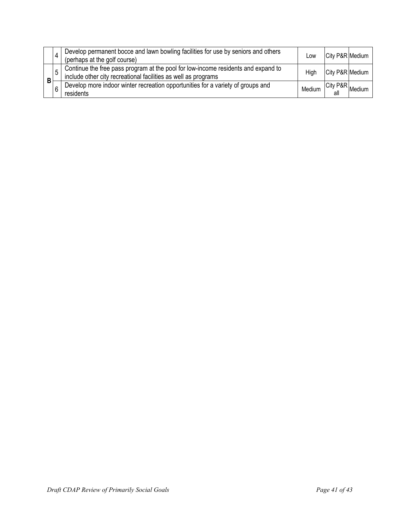|   |   | Develop permanent bocce and lawn bowling facilities for use by seniors and others<br>(perhaps at the golf course)                                | Low    | City P&R Medium |        |
|---|---|--------------------------------------------------------------------------------------------------------------------------------------------------|--------|-----------------|--------|
| B |   | Continue the free pass program at the pool for low-income residents and expand to include other city recreational facilities as well as programs | High   | City P&R Medium |        |
|   | 6 | Develop more indoor winter recreation opportunities for a variety of groups and<br>residents                                                     | Medium | City P&R L      | Medium |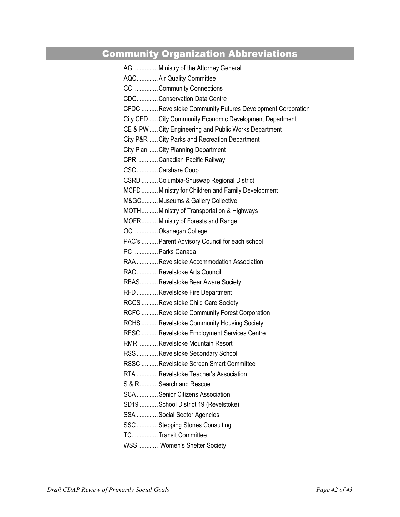## Community Organization Abbreviations

|  | AG  Ministry of the Attorney General                       |
|--|------------------------------------------------------------|
|  | AQC Air Quality Committee                                  |
|  | CC  Community Connections                                  |
|  | CDCConservation Data Centre                                |
|  | CFDC  Revelstoke Community Futures Development Corporation |
|  | City CED City Community Economic Development Department    |
|  | CE & PW  City Engineering and Public Works Department      |
|  | City P&R City Parks and Recreation Department              |
|  | City Plan  City Planning Department                        |
|  | CPR Canadian Pacific Railway                               |
|  | CSCCarshare Coop                                           |
|  | CSRD  Columbia-Shuswap Regional District                   |
|  | MCFD  Ministry for Children and Family Development         |
|  | M&GC Museums & Gallery Collective                          |
|  | MOTH Ministry of Transportation & Highways                 |
|  | MOFR Ministry of Forests and Range                         |
|  | OC  Okanagan College                                       |
|  | PAC's  Parent Advisory Council for each school             |
|  | PC  Parks Canada                                           |
|  | RAA  Revelstoke Accommodation Association                  |
|  | RACRevelstoke Arts Council                                 |
|  | RBAS Revelstoke Bear Aware Society                         |
|  | RFD  Revelstoke Fire Department                            |
|  | RCCS  Revelstoke Child Care Society                        |
|  | RCFC Revelstoke Community Forest Corporation               |
|  | RCHS Revelstoke Community Housing Society                  |
|  | RESC Revelstoke Employment Services Centre                 |
|  | RMR Revelstoke Mountain Resort                             |
|  | RSSRevelstoke Secondary School                             |
|  | RSSC  Revelstoke Screen Smart Committee                    |
|  | RTA Revelstoke Teacher's Association                       |
|  | S & R  Search and Rescue                                   |
|  | SCA  Senior Citizens Association                           |
|  | SD19  School District 19 (Revelstoke)                      |
|  | SSA  Social Sector Agencies                                |
|  | SSC  Stepping Stones Consulting                            |
|  | TCTransit Committee                                        |
|  | WSS  Women's Shelter Society                               |